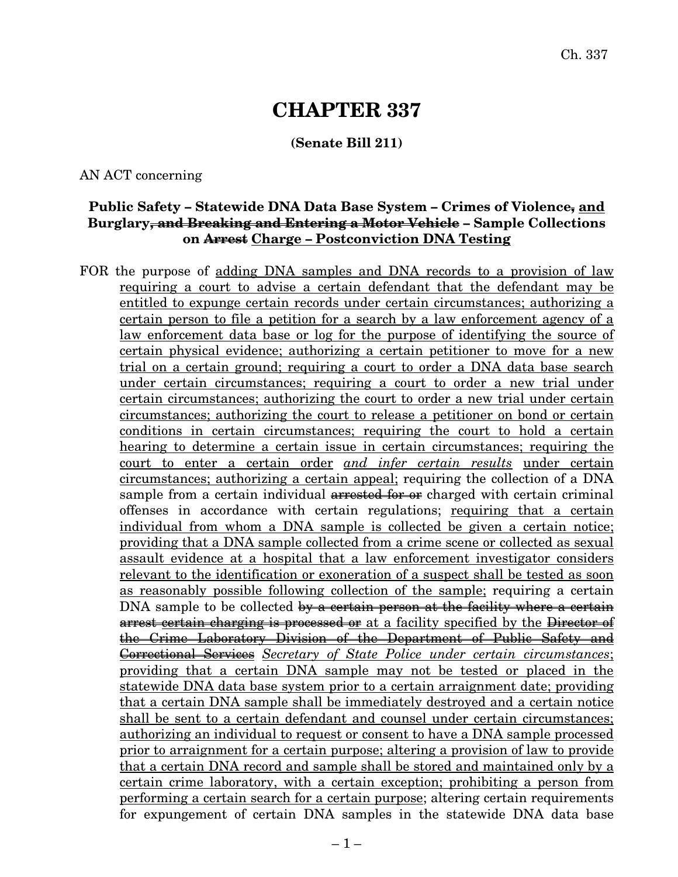# **CHAPTER 337**

### **(Senate Bill 211)**

AN ACT concerning

### **Public Safety – Statewide DNA Data Base System – Crimes of Violence, and Burglary, and Breaking and Entering a Motor Vehicle – Sample Collections on Arrest Charge – Postconviction DNA Testing**

FOR the purpose of adding DNA samples and DNA records to a provision of law requiring a court to advise a certain defendant that the defendant may be entitled to expunge certain records under certain circumstances; authorizing a certain person to file a petition for a search by a law enforcement agency of a law enforcement data base or log for the purpose of identifying the source of certain physical evidence; authorizing a certain petitioner to move for a new trial on a certain ground; requiring a court to order a DNA data base search under certain circumstances; requiring a court to order a new trial under certain circumstances; authorizing the court to order a new trial under certain circumstances; authorizing the court to release a petitioner on bond or certain conditions in certain circumstances; requiring the court to hold a certain hearing to determine a certain issue in certain circumstances; requiring the court to enter a certain order *and infer certain results* under certain circumstances; authorizing a certain appeal; requiring the collection of a DNA sample from a certain individual arrested for or charged with certain criminal offenses in accordance with certain regulations; requiring that a certain individual from whom a DNA sample is collected be given a certain notice; providing that a DNA sample collected from a crime scene or collected as sexual assault evidence at a hospital that a law enforcement investigator considers relevant to the identification or exoneration of a suspect shall be tested as soon as reasonably possible following collection of the sample; requiring a certain DNA sample to be collected by a certain person at the facility where a certain arrest certain charging is processed or at a facility specified by the Director of the Crime Laboratory Division of the Department of Public Safety and Correctional Services *Secretary of State Police under certain circumstances*; providing that a certain DNA sample may not be tested or placed in the statewide DNA data base system prior to a certain arraignment date; providing that a certain DNA sample shall be immediately destroyed and a certain notice shall be sent to a certain defendant and counsel under certain circumstances; authorizing an individual to request or consent to have a DNA sample processed prior to arraignment for a certain purpose; altering a provision of law to provide that a certain DNA record and sample shall be stored and maintained only by a certain crime laboratory, with a certain exception; prohibiting a person from performing a certain search for a certain purpose; altering certain requirements for expungement of certain DNA samples in the statewide DNA data base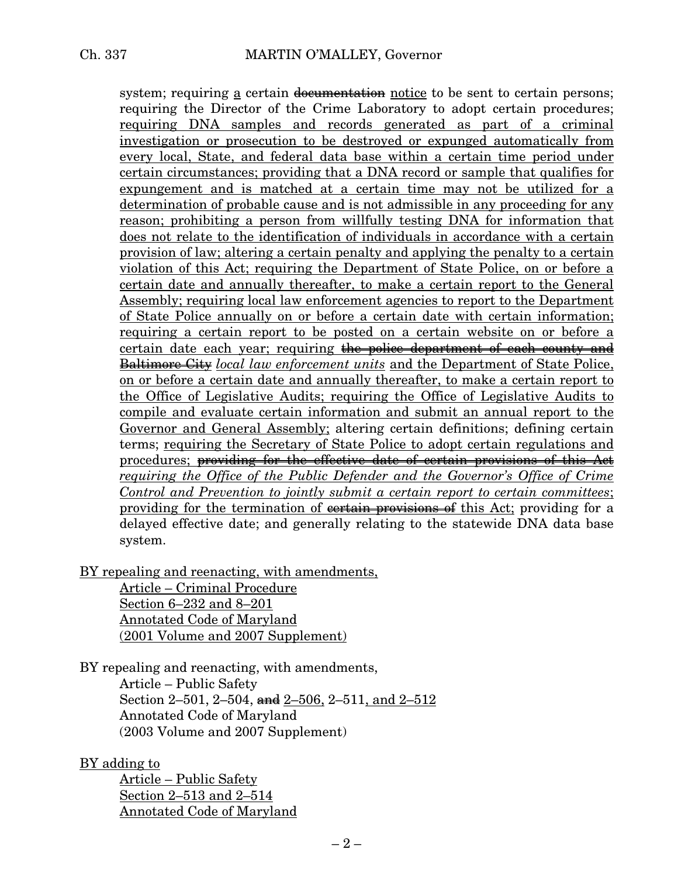system; requiring a certain documentation notice to be sent to certain persons; requiring the Director of the Crime Laboratory to adopt certain procedures; requiring DNA samples and records generated as part of a criminal investigation or prosecution to be destroyed or expunged automatically from every local, State, and federal data base within a certain time period under certain circumstances; providing that a DNA record or sample that qualifies for expungement and is matched at a certain time may not be utilized for a determination of probable cause and is not admissible in any proceeding for any reason; prohibiting a person from willfully testing DNA for information that does not relate to the identification of individuals in accordance with a certain provision of law; altering a certain penalty and applying the penalty to a certain violation of this Act; requiring the Department of State Police, on or before a certain date and annually thereafter, to make a certain report to the General Assembly; requiring local law enforcement agencies to report to the Department of State Police annually on or before a certain date with certain information; requiring a certain report to be posted on a certain website on or before a certain date each year; requiring the police department of each county and Baltimore City *local law enforcement units* and the Department of State Police, on or before a certain date and annually thereafter, to make a certain report to the Office of Legislative Audits; requiring the Office of Legislative Audits to compile and evaluate certain information and submit an annual report to the Governor and General Assembly; altering certain definitions; defining certain terms; requiring the Secretary of State Police to adopt certain regulations and procedures; providing for the effective date of certain provisions of this Act *requiring the Office of the Public Defender and the Governor's Office of Crime Control and Prevention to jointly submit a certain report to certain committees*; providing for the termination of contain provisions of this Act; providing for a delayed effective date; and generally relating to the statewide DNA data base system.

BY repealing and reenacting, with amendments,

Article – Criminal Procedure Section 6–232 and 8–201 Annotated Code of Maryland (2001 Volume and 2007 Supplement)

BY repealing and reenacting, with amendments,

Article – Public Safety Section 2–501, 2–504, and  $2$ –506, 2–511, and  $2$ –512 Annotated Code of Maryland (2003 Volume and 2007 Supplement)

### BY adding to

Article – Public Safety Section 2–513 and 2–514 Annotated Code of Maryland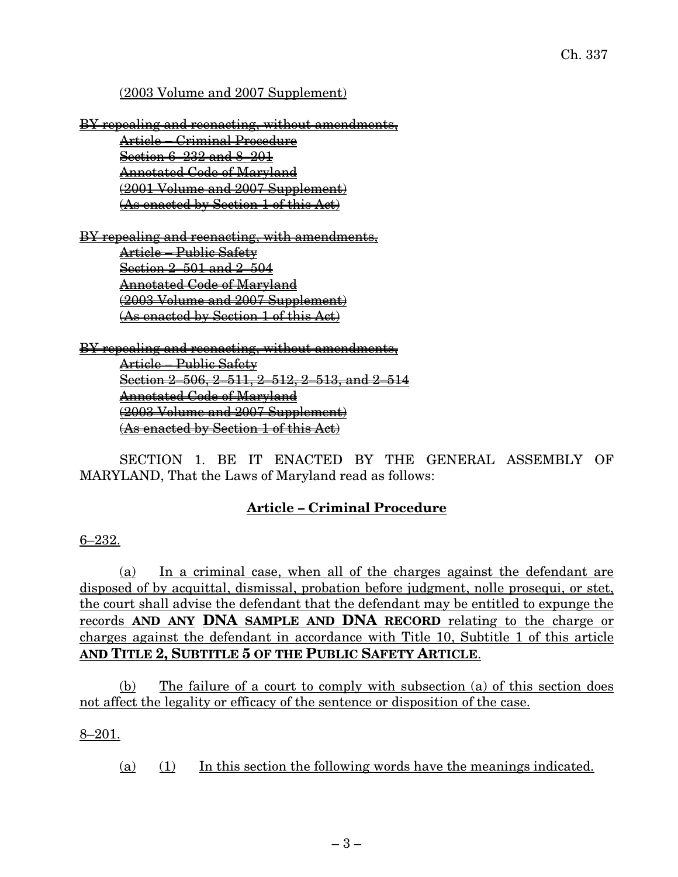### (2003 Volume and 2007 Supplement)

BY repealing and reenacting, without amendments, Article – Criminal Procedure Section 6–232 and 8–201 Annotated Code of Maryland (2001 Volume and 2007 Supplement) (As enacted by Section 1 of this Act)

BY repealing and reenacting, with amendments, Article – Public Safety Section 2–501 and 2–504 Annotated Code of Maryland (2003 Volume and 2007 Supplement) (As enacted by Section 1 of this Act)

BY repealing and reenacting, without amendments, Article – Public Safety Section 2–506, 2–511, 2–512, 2–513, and 2–514 Annotated Code of Maryland (2003 Volume and 2007 Supplement) (As enacted by Section 1 of this Act)

SECTION 1. BE IT ENACTED BY THE GENERAL ASSEMBLY OF MARYLAND, That the Laws of Maryland read as follows:

### **Article – Criminal Procedure**

### 6–232.

(a) In a criminal case, when all of the charges against the defendant are disposed of by acquittal, dismissal, probation before judgment, nolle prosequi, or stet, the court shall advise the defendant that the defendant may be entitled to expunge the records **AND ANY DNA SAMPLE AND DNA RECORD** relating to the charge or charges against the defendant in accordance with Title 10, Subtitle 1 of this article **AND TITLE 2, SUBTITLE 5 OF THE PUBLIC SAFETY ARTICLE**.

(b) The failure of a court to comply with subsection (a) of this section does not affect the legality or efficacy of the sentence or disposition of the case.

### 8–201.

(a) (1) In this section the following words have the meanings indicated.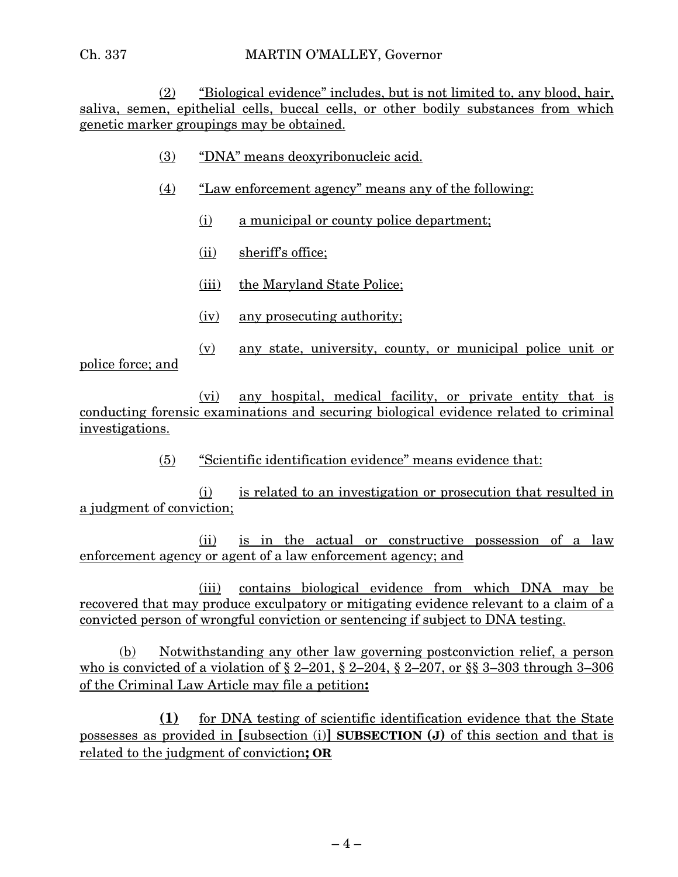### Ch. 337 MARTIN O'MALLEY, Governor

(2) "Biological evidence" includes, but is not limited to, any blood, hair, saliva, semen, epithelial cells, buccal cells, or other bodily substances from which genetic marker groupings may be obtained.

- (3) "DNA" means deoxyribonucleic acid.
- (4) "Law enforcement agency" means any of the following:
	- (i) a municipal or county police department;
	- (ii) sheriff's office;
	- (iii) the Maryland State Police;
	- (iv) any prosecuting authority;

(v) any state, university, county, or municipal police unit or police force; and

(vi) any hospital, medical facility, or private entity that is conducting forensic examinations and securing biological evidence related to criminal investigations.

(5) "Scientific identification evidence" means evidence that:

(i) is related to an investigation or prosecution that resulted in a judgment of conviction;

(ii) is in the actual or constructive possession of a law enforcement agency or agent of a law enforcement agency; and

(iii) contains biological evidence from which DNA may be recovered that may produce exculpatory or mitigating evidence relevant to a claim of a convicted person of wrongful conviction or sentencing if subject to DNA testing.

(b) Notwithstanding any other law governing postconviction relief, a person who is convicted of a violation of § 2–201, § 2–204, § 2–207, or §§ 3–303 through 3–306 of the Criminal Law Article may file a petition**:**

**(1)** for DNA testing of scientific identification evidence that the State possesses as provided in **[**subsection (i)**] SUBSECTION (J)** of this section and that is related to the judgment of conviction**; OR**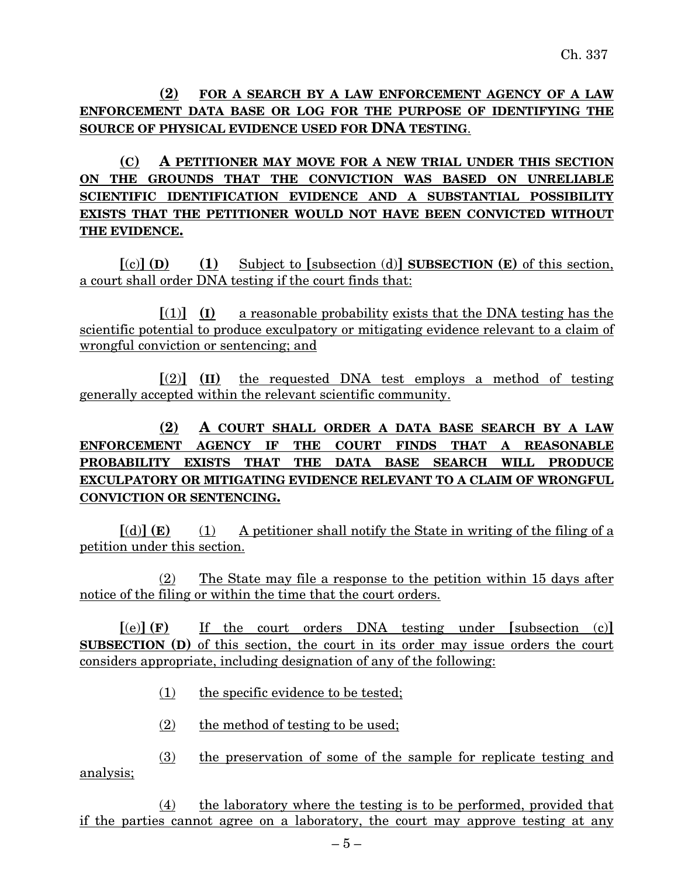**(2) FOR A SEARCH BY A LAW ENFORCEMENT AGENCY OF A LAW ENFORCEMENT DATA BASE OR LOG FOR THE PURPOSE OF IDENTIFYING THE SOURCE OF PHYSICAL EVIDENCE USED FOR DNA TESTING**.

**(C) A PETITIONER MAY MOVE FOR A NEW TRIAL UNDER THIS SECTION ON THE GROUNDS THAT THE CONVICTION WAS BASED ON UNRELIABLE SCIENTIFIC IDENTIFICATION EVIDENCE AND A SUBSTANTIAL POSSIBILITY EXISTS THAT THE PETITIONER WOULD NOT HAVE BEEN CONVICTED WITHOUT THE EVIDENCE.**

**[**(c)**] (D) (1)** Subject to **[**subsection (d)**] SUBSECTION (E)** of this section, a court shall order DNA testing if the court finds that:

 $[(1)]$  **(I)** a reasonable probability exists that the DNA testing has the scientific potential to produce exculpatory or mitigating evidence relevant to a claim of wrongful conviction or sentencing; and

**[**(2)**] (II)** the requested DNA test employs a method of testing generally accepted within the relevant scientific community.

# **(2) A COURT SHALL ORDER A DATA BASE SEARCH BY A LAW ENFORCEMENT AGENCY IF THE COURT FINDS THAT A REASONABLE PROBABILITY EXISTS THAT THE DATA BASE SEARCH WILL PRODUCE EXCULPATORY OR MITIGATING EVIDENCE RELEVANT TO A CLAIM OF WRONGFUL CONVICTION OR SENTENCING.**

 $[(d)]$  **(E)** (1) A petitioner shall notify the State in writing of the filing of a petition under this section.

(2) The State may file a response to the petition within 15 days after notice of the filing or within the time that the court orders.

**[**(e)**] (F)** If the court orders DNA testing under **[**subsection (c)**] SUBSECTION (D)** of this section, the court in its order may issue orders the court considers appropriate, including designation of any of the following:

- (1) the specific evidence to be tested;
- (2) the method of testing to be used;

(3) the preservation of some of the sample for replicate testing and analysis;

(4) the laboratory where the testing is to be performed, provided that if the parties cannot agree on a laboratory, the court may approve testing at any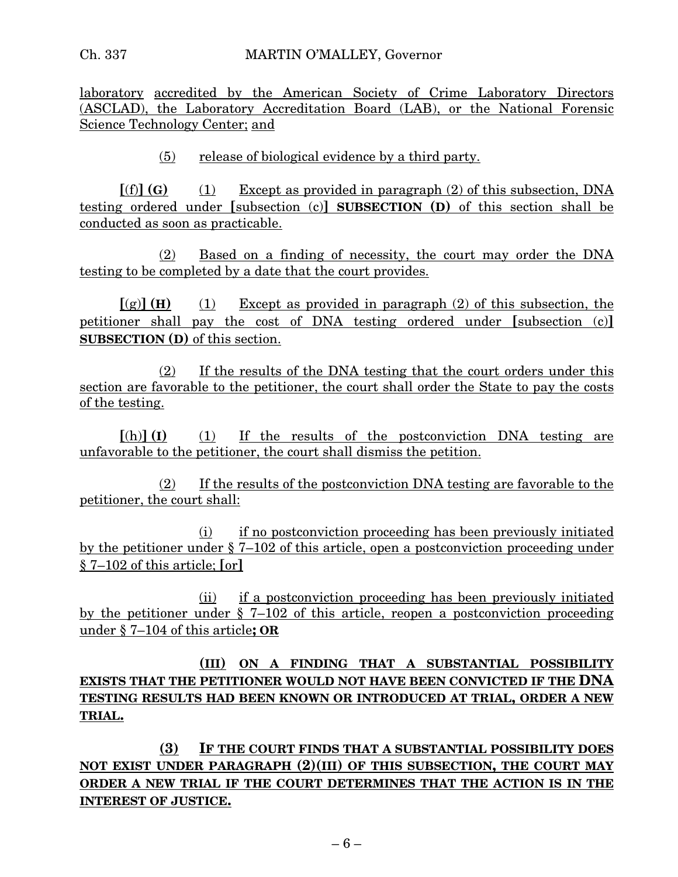laboratory accredited by the American Society of Crime Laboratory Directors (ASCLAD), the Laboratory Accreditation Board (LAB), or the National Forensic Science Technology Center; and

(5) release of biological evidence by a third party.

 $[(f)] (G)$  (1) Except as provided in paragraph (2) of this subsection, DNA testing ordered under **[**subsection (c)**] SUBSECTION (D)** of this section shall be conducted as soon as practicable.

(2) Based on a finding of necessity, the court may order the DNA testing to be completed by a date that the court provides.

 $\left[\text{(g)}\right]$  **(H)** (1) Except as provided in paragraph (2) of this subsection, the petitioner shall pay the cost of DNA testing ordered under **[**subsection (c)**] SUBSECTION (D)** of this section.

(2) If the results of the DNA testing that the court orders under this section are favorable to the petitioner, the court shall order the State to pay the costs of the testing.

**[**(h)**] (I)** (1) If the results of the postconviction DNA testing are unfavorable to the petitioner, the court shall dismiss the petition.

(2) If the results of the postconviction DNA testing are favorable to the petitioner, the court shall:

(i) if no postconviction proceeding has been previously initiated by the petitioner under § 7–102 of this article, open a postconviction proceeding under § 7–102 of this article; **[**or**]**

(ii) if a postconviction proceeding has been previously initiated by the petitioner under  $\S$  7–102 of this article, reopen a postconviction proceeding under § 7–104 of this article**; OR**

**(III) ON A FINDING THAT A SUBSTANTIAL POSSIBILITY EXISTS THAT THE PETITIONER WOULD NOT HAVE BEEN CONVICTED IF THE DNA TESTING RESULTS HAD BEEN KNOWN OR INTRODUCED AT TRIAL, ORDER A NEW TRIAL.**

**(3) IF THE COURT FINDS THAT A SUBSTANTIAL POSSIBILITY DOES NOT EXIST UNDER PARAGRAPH (2)(III) OF THIS SUBSECTION, THE COURT MAY ORDER A NEW TRIAL IF THE COURT DETERMINES THAT THE ACTION IS IN THE INTEREST OF JUSTICE.**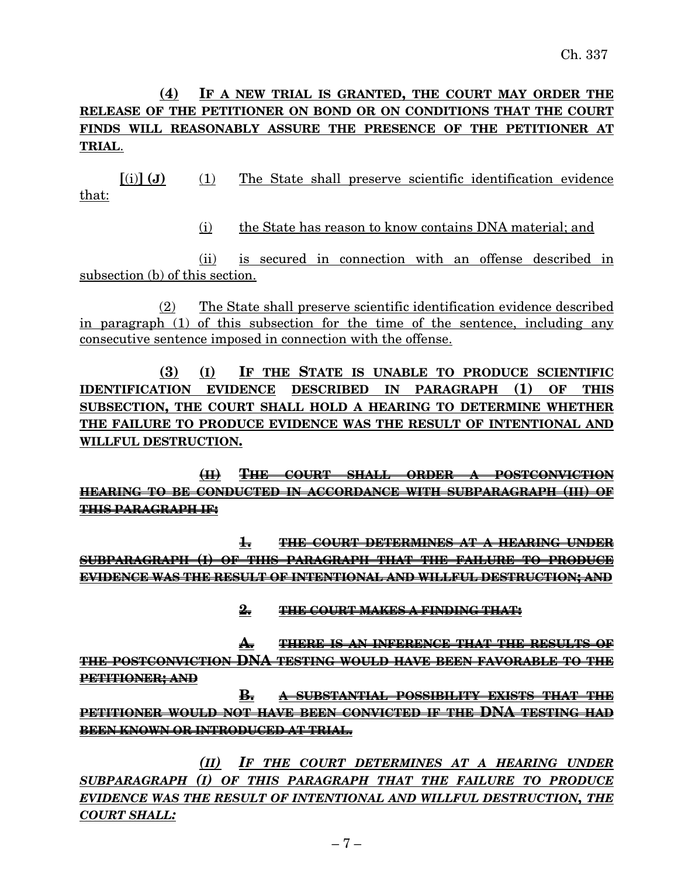# **(4) IF A NEW TRIAL IS GRANTED, THE COURT MAY ORDER THE RELEASE OF THE PETITIONER ON BOND OR ON CONDITIONS THAT THE COURT FINDS WILL REASONABLY ASSURE THE PRESENCE OF THE PETITIONER AT TRIAL**.

**[**(i)**] (J)** (1) The State shall preserve scientific identification evidence that:

(i) the State has reason to know contains DNA material; and

(ii) is secured in connection with an offense described in subsection (b) of this section.

(2) The State shall preserve scientific identification evidence described in paragraph (1) of this subsection for the time of the sentence, including any consecutive sentence imposed in connection with the offense.

**(3) (I) IF THE STATE IS UNABLE TO PRODUCE SCIENTIFIC IDENTIFICATION EVIDENCE DESCRIBED IN PARAGRAPH (1) OF THIS SUBSECTION, THE COURT SHALL HOLD A HEARING TO DETERMINE WHETHER THE FAILURE TO PRODUCE EVIDENCE WAS THE RESULT OF INTENTIONAL AND WILLFUL DESTRUCTION.**

**(II) THE COURT SHALL ORDER A POSTCONVICTION HEARING TO BE CONDUCTED IN ACCORDANCE WITH SUBPARAGRAPH (III) OF THIS PARAGRAPH IF:**

**1. THE COURT DETERMINES AT A HEARING UNDER SUBPARAGRAPH (I) OF THIS PARAGRAPH THAT THE FAILURE TO PRODUCE EVIDENCE WAS THE RESULT OF INTENTIONAL AND WILLFUL DESTRUCTION; AND**

**2. THE COURT MAKES A FINDING THAT:**

**A. THERE IS AN INFERENCE THAT THE RESULTS OF THE POSTCONVICTION DNA TESTING WOULD HAVE BEEN FAVORABLE TO THE PETITIONER; AND**

**B. A SUBSTANTIAL POSSIBILITY EXISTS THAT THE PETITIONER WOULD NOT HAVE BEEN CONVICTED IF THE DNA TESTING HAD BEEN KNOWN OR INTRODUCED AT TRIAL.**

*(II) IF THE COURT DETERMINES AT A HEARING UNDER SUBPARAGRAPH (I) OF THIS PARAGRAPH THAT THE FAILURE TO PRODUCE EVIDENCE WAS THE RESULT OF INTENTIONAL AND WILLFUL DESTRUCTION, THE COURT SHALL:*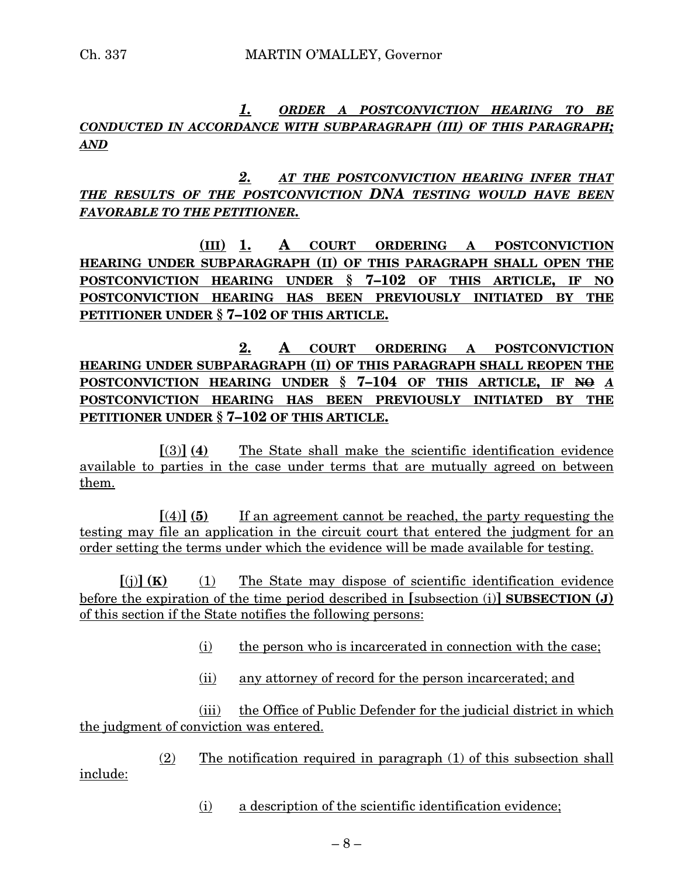# *1. ORDER A POSTCONVICTION HEARING TO BE CONDUCTED IN ACCORDANCE WITH SUBPARAGRAPH (III) OF THIS PARAGRAPH; AND*

*2. AT THE POSTCONVICTION HEARING INFER THAT THE RESULTS OF THE POSTCONVICTION DNA TESTING WOULD HAVE BEEN FAVORABLE TO THE PETITIONER.*

**(III) 1. A COURT ORDERING A POSTCONVICTION HEARING UNDER SUBPARAGRAPH (II) OF THIS PARAGRAPH SHALL OPEN THE POSTCONVICTION HEARING UNDER § 7–102 OF THIS ARTICLE, IF NO POSTCONVICTION HEARING HAS BEEN PREVIOUSLY INITIATED BY THE PETITIONER UNDER § 7–102 OF THIS ARTICLE.**

**2. A COURT ORDERING A POSTCONVICTION HEARING UNDER SUBPARAGRAPH (II) OF THIS PARAGRAPH SHALL REOPEN THE POSTCONVICTION HEARING UNDER § 7–104 OF THIS ARTICLE, IF NO** *A* **POSTCONVICTION HEARING HAS BEEN PREVIOUSLY INITIATED BY THE PETITIONER UNDER § 7–102 OF THIS ARTICLE.**

**[**(3)**] (4)** The State shall make the scientific identification evidence available to parties in the case under terms that are mutually agreed on between them.

**[**(4)**] (5)** If an agreement cannot be reached, the party requesting the testing may file an application in the circuit court that entered the judgment for an order setting the terms under which the evidence will be made available for testing.

 $[(i)]$  **(K)** (1) The State may dispose of scientific identification evidence before the expiration of the time period described in **[**subsection (i)**] SUBSECTION (J)** of this section if the State notifies the following persons:

- (i) the person who is incarcerated in connection with the case;
- (ii) any attorney of record for the person incarcerated; and

(iii) the Office of Public Defender for the judicial district in which the judgment of conviction was entered.

(2) The notification required in paragraph (1) of this subsection shall include:

(i) a description of the scientific identification evidence;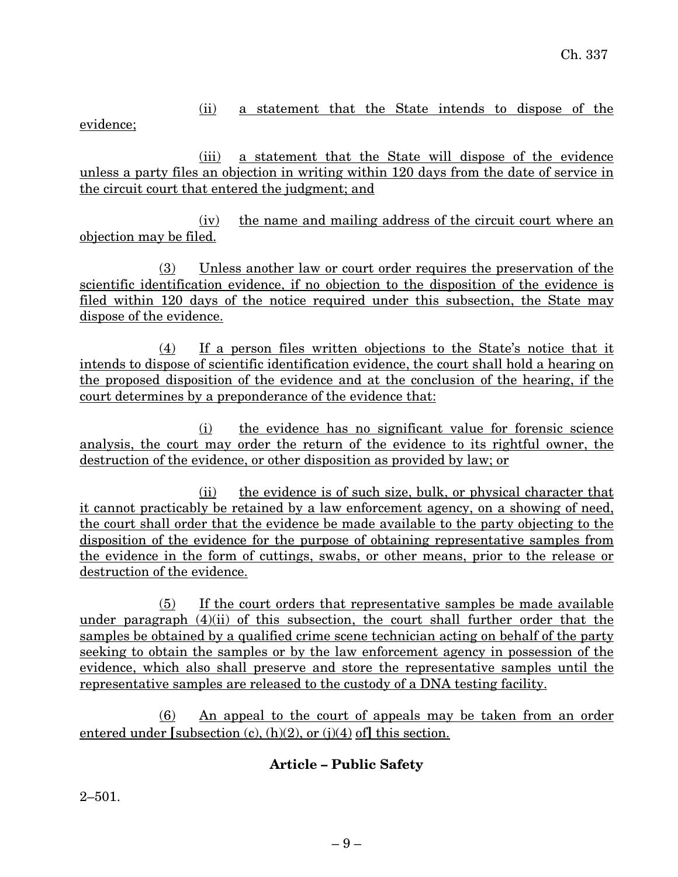# (ii) a statement that the State intends to dispose of the

evidence;

(iii) a statement that the State will dispose of the evidence unless a party files an objection in writing within 120 days from the date of service in the circuit court that entered the judgment; and

(iv) the name and mailing address of the circuit court where an objection may be filed.

(3) Unless another law or court order requires the preservation of the scientific identification evidence, if no objection to the disposition of the evidence is filed within 120 days of the notice required under this subsection, the State may dispose of the evidence.

(4) If a person files written objections to the State's notice that it intends to dispose of scientific identification evidence, the court shall hold a hearing on the proposed disposition of the evidence and at the conclusion of the hearing, if the court determines by a preponderance of the evidence that:

(i) the evidence has no significant value for forensic science analysis, the court may order the return of the evidence to its rightful owner, the destruction of the evidence, or other disposition as provided by law; or

(ii) the evidence is of such size, bulk, or physical character that it cannot practicably be retained by a law enforcement agency, on a showing of need, the court shall order that the evidence be made available to the party objecting to the disposition of the evidence for the purpose of obtaining representative samples from the evidence in the form of cuttings, swabs, or other means, prior to the release or destruction of the evidence.

(5) If the court orders that representative samples be made available under paragraph (4)(ii) of this subsection, the court shall further order that the samples be obtained by a qualified crime scene technician acting on behalf of the party seeking to obtain the samples or by the law enforcement agency in possession of the evidence, which also shall preserve and store the representative samples until the representative samples are released to the custody of a DNA testing facility.

(6) An appeal to the court of appeals may be taken from an order entered under **[**subsection (c), (h)(2), or (j)(4) of**]** this section.

# **Article – Public Safety**

2–501.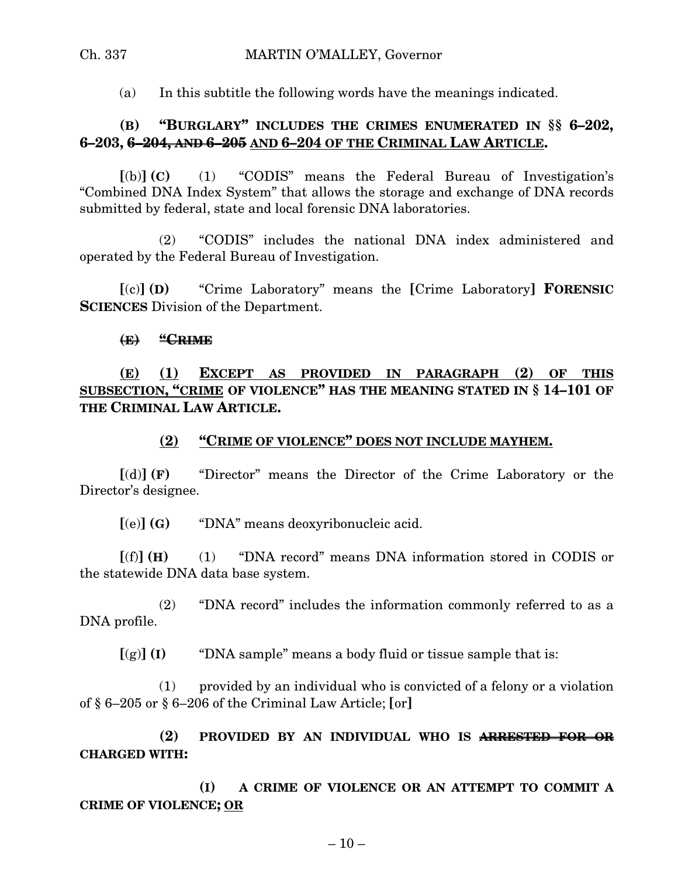### Ch. 337 MARTIN O'MALLEY, Governor

(a) In this subtitle the following words have the meanings indicated.

# **(B) "BURGLARY" INCLUDES THE CRIMES ENUMERATED IN §§ 6–202, 6–203, 6–204, AND 6–205 AND 6–204 OF THE CRIMINAL LAW ARTICLE.**

**[**(b)**] (C)** (1) "CODIS" means the Federal Bureau of Investigation's "Combined DNA Index System" that allows the storage and exchange of DNA records submitted by federal, state and local forensic DNA laboratories.

(2) "CODIS" includes the national DNA index administered and operated by the Federal Bureau of Investigation.

**[**(c)**] (D)** "Crime Laboratory" means the **[**Crime Laboratory**] FORENSIC SCIENCES** Division of the Department.

### **(E) "CRIME**

**(E) (1) EXCEPT AS PROVIDED IN PARAGRAPH (2) OF THIS SUBSECTION, "CRIME OF VIOLENCE" HAS THE MEANING STATED IN § 14–101 OF THE CRIMINAL LAW ARTICLE.**

### **(2) "CRIME OF VIOLENCE" DOES NOT INCLUDE MAYHEM.**

**[**(d)**] (F)** "Director" means the Director of the Crime Laboratory or the Director's designee.

**[**(e)**] (G)** "DNA" means deoxyribonucleic acid.

**[**(f)**] (H)** (1) "DNA record" means DNA information stored in CODIS or the statewide DNA data base system.

(2) "DNA record" includes the information commonly referred to as a DNA profile.

 $\lceil g \rceil$  **(I)** "DNA sample" means a body fluid or tissue sample that is:

(1) provided by an individual who is convicted of a felony or a violation of § 6–205 or § 6–206 of the Criminal Law Article; **[**or**]**

**(2) PROVIDED BY AN INDIVIDUAL WHO IS ARRESTED FOR OR CHARGED WITH:**

**(I) A CRIME OF VIOLENCE OR AN ATTEMPT TO COMMIT A CRIME OF VIOLENCE; OR**

 $-10-$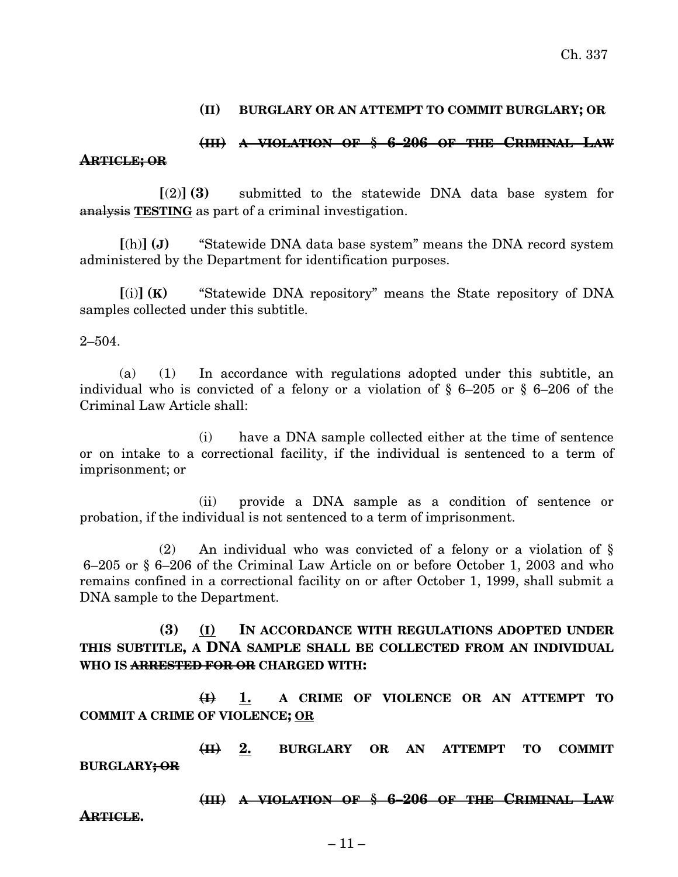### **(II) BURGLARY OR AN ATTEMPT TO COMMIT BURGLARY; OR**

### **(III) A VIOLATION OF § 6–206 OF THE CRIMINAL LAW ARTICLE; OR**

**[**(2)**] (3)** submitted to the statewide DNA data base system for analysis **TESTING** as part of a criminal investigation.

**[**(h)**] (J)** "Statewide DNA data base system" means the DNA record system administered by the Department for identification purposes.

**[**(i)**] (K)** "Statewide DNA repository" means the State repository of DNA samples collected under this subtitle.

2–504.

(a) (1) In accordance with regulations adopted under this subtitle, an individual who is convicted of a felony or a violation of § 6–205 or § 6–206 of the Criminal Law Article shall:

(i) have a DNA sample collected either at the time of sentence or on intake to a correctional facility, if the individual is sentenced to a term of imprisonment; or

(ii) provide a DNA sample as a condition of sentence or probation, if the individual is not sentenced to a term of imprisonment.

(2) An individual who was convicted of a felony or a violation of § 6–205 or § 6–206 of the Criminal Law Article on or before October 1, 2003 and who remains confined in a correctional facility on or after October 1, 1999, shall submit a DNA sample to the Department.

### **(3) (I) IN ACCORDANCE WITH REGULATIONS ADOPTED UNDER THIS SUBTITLE, A DNA SAMPLE SHALL BE COLLECTED FROM AN INDIVIDUAL WHO IS ARRESTED FOR OR CHARGED WITH:**

**(I) 1. A CRIME OF VIOLENCE OR AN ATTEMPT TO COMMIT A CRIME OF VIOLENCE; OR**

**(II) 2. BURGLARY OR AN ATTEMPT TO COMMIT BURGLARY; OR**

**(III) A VIOLATION OF § 6–206 OF THE CRIMINAL LAW**

**ARTICLE.**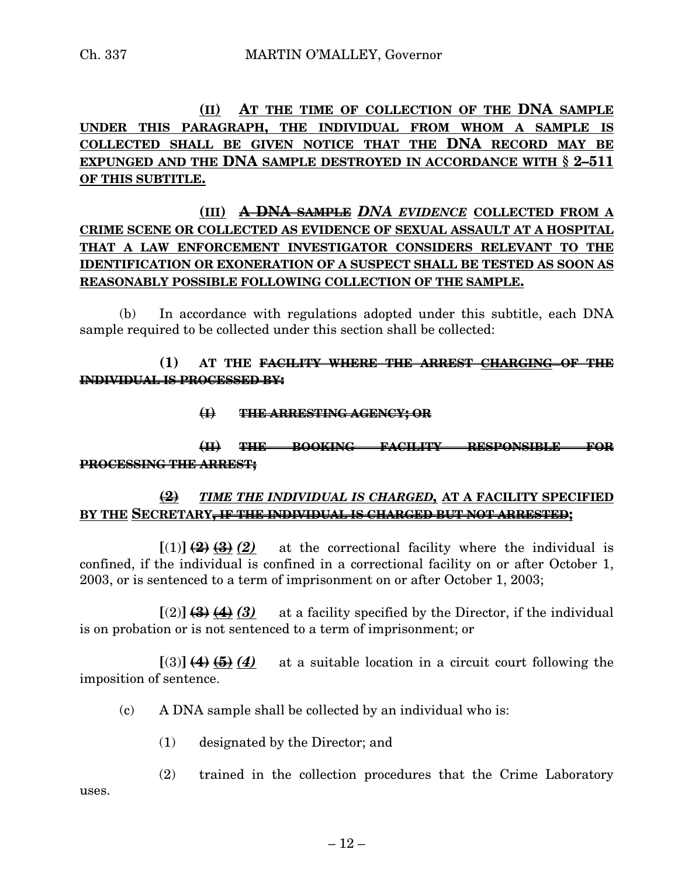# **(II) AT THE TIME OF COLLECTION OF THE DNA SAMPLE UNDER THIS PARAGRAPH, THE INDIVIDUAL FROM WHOM A SAMPLE IS COLLECTED SHALL BE GIVEN NOTICE THAT THE DNA RECORD MAY BE EXPUNGED AND THE DNA SAMPLE DESTROYED IN ACCORDANCE WITH § 2–511 OF THIS SUBTITLE.**

# **(III) A DNA SAMPLE** *DNA EVIDENCE* **COLLECTED FROM A CRIME SCENE OR COLLECTED AS EVIDENCE OF SEXUAL ASSAULT AT A HOSPITAL THAT A LAW ENFORCEMENT INVESTIGATOR CONSIDERS RELEVANT TO THE IDENTIFICATION OR EXONERATION OF A SUSPECT SHALL BE TESTED AS SOON AS REASONABLY POSSIBLE FOLLOWING COLLECTION OF THE SAMPLE.**

(b) In accordance with regulations adopted under this subtitle, each DNA sample required to be collected under this section shall be collected:

## **(1) AT THE FACILITY WHERE THE ARREST CHARGING OF THE INDIVIDUAL IS PROCESSED BY:**

**(I) THE ARRESTING AGENCY; OR**

# **(II) THE BOOKING FACILITY RESPONSIBLE FOR PROCESSING THE ARREST;**

## **(2)** *TIME THE INDIVIDUAL IS CHARGED,* **AT A FACILITY SPECIFIED BY THE SECRETARY, IF THE INDIVIDUAL IS CHARGED BUT NOT ARRESTED;**

 $[(1)] (2) (3) (2)$  at the correctional facility where the individual is confined, if the individual is confined in a correctional facility on or after October 1, 2003, or is sentenced to a term of imprisonment on or after October 1, 2003;

 $\lceil(2)\rceil$  **(3)**  $\blacktriangleleft$  **(3)** at a facility specified by the Director, if the individual is on probation or is not sentenced to a term of imprisonment; or

 $[(3)] (4) (5) (4)$  at a suitable location in a circuit court following the imposition of sentence.

- (c) A DNA sample shall be collected by an individual who is:
	- (1) designated by the Director; and

(2) trained in the collection procedures that the Crime Laboratory uses.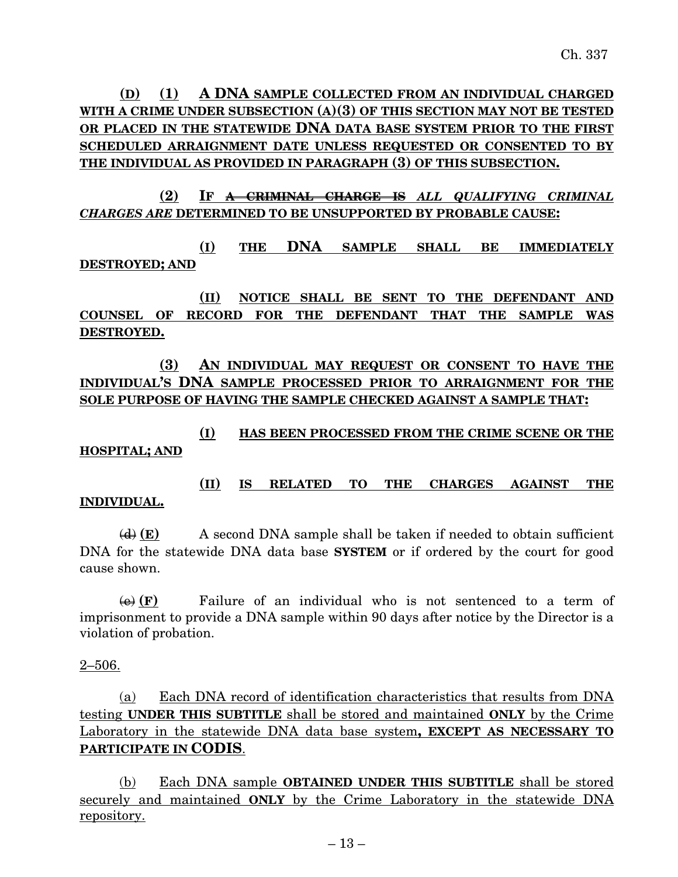**(D) (1) A DNA SAMPLE COLLECTED FROM AN INDIVIDUAL CHARGED WITH A CRIME UNDER SUBSECTION (A)(3) OF THIS SECTION MAY NOT BE TESTED OR PLACED IN THE STATEWIDE DNA DATA BASE SYSTEM PRIOR TO THE FIRST SCHEDULED ARRAIGNMENT DATE UNLESS REQUESTED OR CONSENTED TO BY THE INDIVIDUAL AS PROVIDED IN PARAGRAPH (3) OF THIS SUBSECTION.**

**(2) IF A CRIMINAL CHARGE IS** *ALL QUALIFYING CRIMINAL CHARGES ARE* **DETERMINED TO BE UNSUPPORTED BY PROBABLE CAUSE:**

**(I) THE DNA SAMPLE SHALL BE IMMEDIATELY DESTROYED; AND**

**(II) NOTICE SHALL BE SENT TO THE DEFENDANT AND COUNSEL OF RECORD FOR THE DEFENDANT THAT THE SAMPLE WAS DESTROYED.**

**(3) AN INDIVIDUAL MAY REQUEST OR CONSENT TO HAVE THE INDIVIDUAL'S DNA SAMPLE PROCESSED PRIOR TO ARRAIGNMENT FOR THE SOLE PURPOSE OF HAVING THE SAMPLE CHECKED AGAINST A SAMPLE THAT:**

**(I) HAS BEEN PROCESSED FROM THE CRIME SCENE OR THE HOSPITAL; AND**

# **(II) IS RELATED TO THE CHARGES AGAINST THE**

### **INDIVIDUAL.**

(d) **(E)** A second DNA sample shall be taken if needed to obtain sufficient DNA for the statewide DNA data base **SYSTEM** or if ordered by the court for good cause shown.

 $\overline{(e)}$  **(F)** Failure of an individual who is not sentenced to a term of imprisonment to provide a DNA sample within 90 days after notice by the Director is a violation of probation.

2–506.

(a) Each DNA record of identification characteristics that results from DNA testing **UNDER THIS SUBTITLE** shall be stored and maintained **ONLY** by the Crime Laboratory in the statewide DNA data base system**, EXCEPT AS NECESSARY TO PARTICIPATE IN CODIS**.

(b) Each DNA sample **OBTAINED UNDER THIS SUBTITLE** shall be stored securely and maintained **ONLY** by the Crime Laboratory in the statewide DNA repository.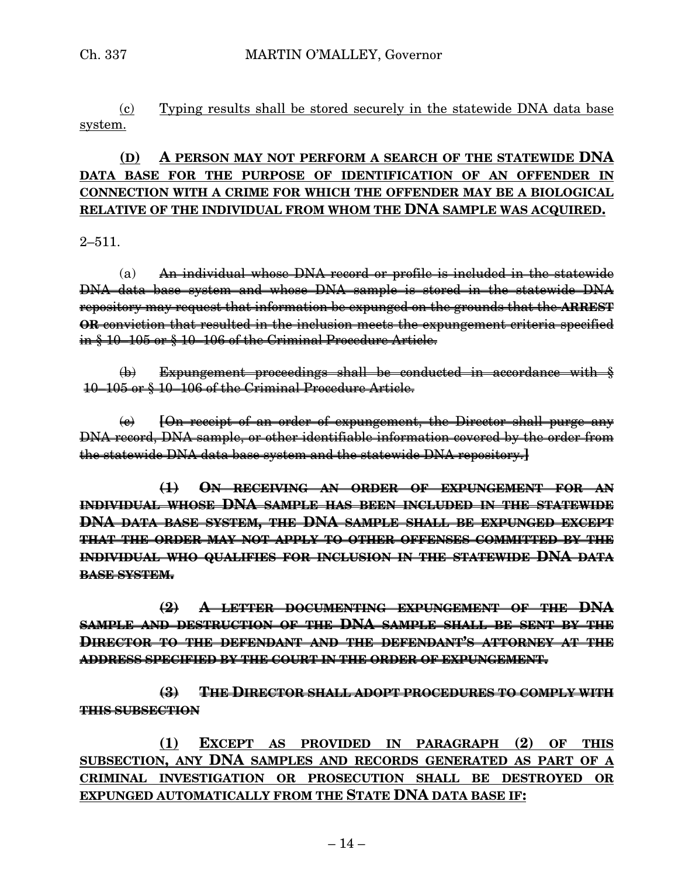(c) Typing results shall be stored securely in the statewide DNA data base system.

# **(D) A PERSON MAY NOT PERFORM A SEARCH OF THE STATEWIDE DNA DATA BASE FOR THE PURPOSE OF IDENTIFICATION OF AN OFFENDER IN CONNECTION WITH A CRIME FOR WHICH THE OFFENDER MAY BE A BIOLOGICAL RELATIVE OF THE INDIVIDUAL FROM WHOM THE DNA SAMPLE WAS ACQUIRED.**

 $2 - 511.$ 

(a) An individual whose DNA record or profile is included in the statewide DNA data base system and whose DNA sample is stored in the statewide DNA repository may request that information be expunged on the grounds that the **ARREST OR** conviction that resulted in the inclusion meets the expungement criteria specified in § 10–105 or § 10–106 of the Criminal Procedure Article.

 $\phi$ ) Expungement proceedings shall be conducted in accordance with  $\frac{1}{2}$ 10–105 or § 10–106 of the Criminal Procedure Article.

(c) **[**On receipt of an order of expungement, the Director shall purge any DNA record, DNA sample, or other identifiable information covered by the order from the statewide DNA data base system and the statewide DNA repository.**]**

**(1) ON RECEIVING AN ORDER OF EXPUNGEMENT FOR AN INDIVIDUAL WHOSE DNA SAMPLE HAS BEEN INCLUDED IN THE STATEWIDE DNA DATA BASE SYSTEM, THE DNA SAMPLE SHALL BE EXPUNGED EXCEPT THAT THE ORDER MAY NOT APPLY TO OTHER OFFENSES COMMITTED BY THE INDIVIDUAL WHO QUALIFIES FOR INCLUSION IN THE STATEWIDE DNA DATA BASE SYSTEM.**

**(2) A LETTER DOCUMENTING EXPUNGEMENT OF THE DNA SAMPLE AND DESTRUCTION OF THE DNA SAMPLE SHALL BE SENT BY THE DIRECTOR TO THE DEFENDANT AND THE DEFENDANT'S ATTORNEY AT THE ADDRESS SPECIFIED BY THE COURT IN THE ORDER OF EXPUNGEMENT.**

**(3) THE DIRECTOR SHALL ADOPT PROCEDURES TO COMPLY WITH THIS SUBSECTION**

**(1) EXCEPT AS PROVIDED IN PARAGRAPH (2) OF THIS SUBSECTION, ANY DNA SAMPLES AND RECORDS GENERATED AS PART OF A CRIMINAL INVESTIGATION OR PROSECUTION SHALL BE DESTROYED OR EXPUNGED AUTOMATICALLY FROM THE STATE DNA DATA BASE IF:**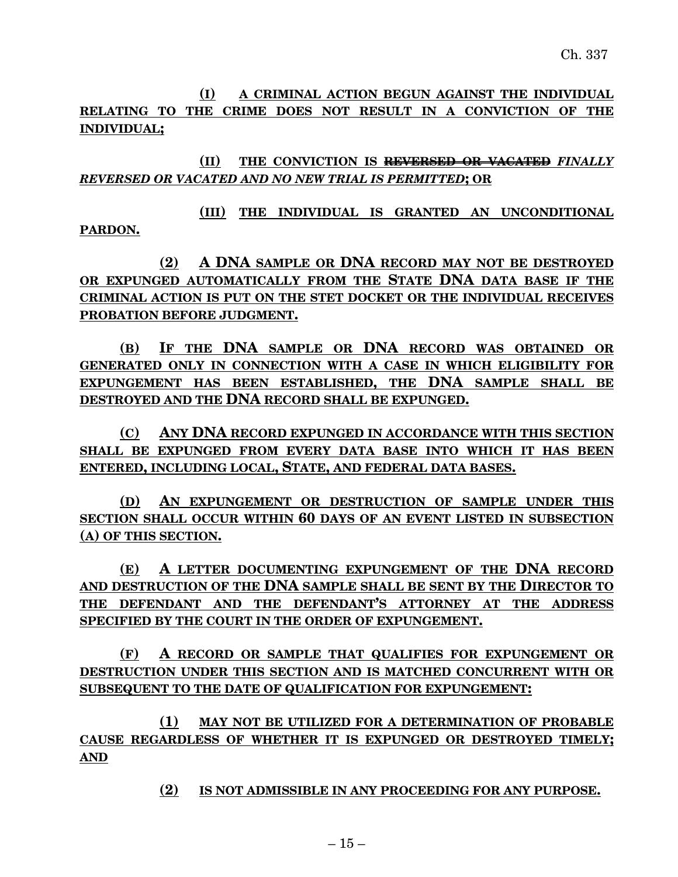**(I) A CRIMINAL ACTION BEGUN AGAINST THE INDIVIDUAL RELATING TO THE CRIME DOES NOT RESULT IN A CONVICTION OF THE INDIVIDUAL;**

**(II) THE CONVICTION IS REVERSED OR VACATED** *FINALLY REVERSED OR VACATED AND NO NEW TRIAL IS PERMITTED***; OR**

**(III) THE INDIVIDUAL IS GRANTED AN UNCONDITIONAL PARDON.**

**(2) A DNA SAMPLE OR DNA RECORD MAY NOT BE DESTROYED OR EXPUNGED AUTOMATICALLY FROM THE STATE DNA DATA BASE IF THE CRIMINAL ACTION IS PUT ON THE STET DOCKET OR THE INDIVIDUAL RECEIVES PROBATION BEFORE JUDGMENT.**

**(B) IF THE DNA SAMPLE OR DNA RECORD WAS OBTAINED OR GENERATED ONLY IN CONNECTION WITH A CASE IN WHICH ELIGIBILITY FOR EXPUNGEMENT HAS BEEN ESTABLISHED, THE DNA SAMPLE SHALL BE DESTROYED AND THE DNA RECORD SHALL BE EXPUNGED.**

**(C) ANY DNA RECORD EXPUNGED IN ACCORDANCE WITH THIS SECTION SHALL BE EXPUNGED FROM EVERY DATA BASE INTO WHICH IT HAS BEEN ENTERED, INCLUDING LOCAL, STATE, AND FEDERAL DATA BASES.**

**(D) AN EXPUNGEMENT OR DESTRUCTION OF SAMPLE UNDER THIS SECTION SHALL OCCUR WITHIN 60 DAYS OF AN EVENT LISTED IN SUBSECTION (A) OF THIS SECTION.**

**(E) A LETTER DOCUMENTING EXPUNGEMENT OF THE DNA RECORD AND DESTRUCTION OF THE DNA SAMPLE SHALL BE SENT BY THE DIRECTOR TO THE DEFENDANT AND THE DEFENDANT'S ATTORNEY AT THE ADDRESS SPECIFIED BY THE COURT IN THE ORDER OF EXPUNGEMENT.**

**(F) A RECORD OR SAMPLE THAT QUALIFIES FOR EXPUNGEMENT OR DESTRUCTION UNDER THIS SECTION AND IS MATCHED CONCURRENT WITH OR SUBSEQUENT TO THE DATE OF QUALIFICATION FOR EXPUNGEMENT:**

**(1) MAY NOT BE UTILIZED FOR A DETERMINATION OF PROBABLE CAUSE REGARDLESS OF WHETHER IT IS EXPUNGED OR DESTROYED TIMELY; AND**

**(2) IS NOT ADMISSIBLE IN ANY PROCEEDING FOR ANY PURPOSE.**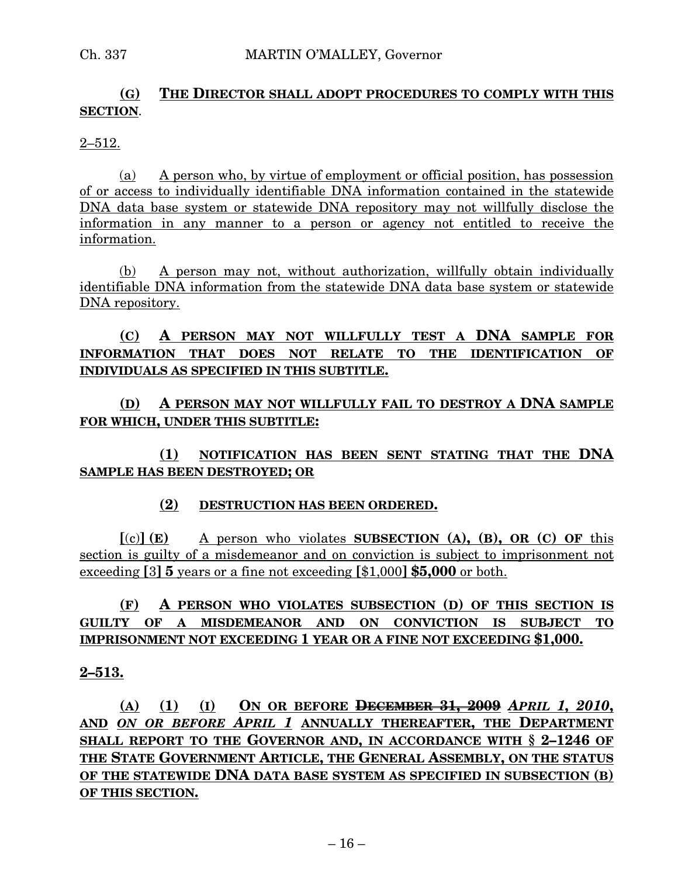# **(G) THE DIRECTOR SHALL ADOPT PROCEDURES TO COMPLY WITH THIS SECTION**.

### $2 - 512$ .

(a) A person who, by virtue of employment or official position, has possession of or access to individually identifiable DNA information contained in the statewide DNA data base system or statewide DNA repository may not willfully disclose the information in any manner to a person or agency not entitled to receive the information.

(b) A person may not, without authorization, willfully obtain individually identifiable DNA information from the statewide DNA data base system or statewide DNA repository.

# **(C) A PERSON MAY NOT WILLFULLY TEST A DNA SAMPLE FOR INFORMATION THAT DOES NOT RELATE TO THE IDENTIFICATION OF INDIVIDUALS AS SPECIFIED IN THIS SUBTITLE.**

**(D) A PERSON MAY NOT WILLFULLY FAIL TO DESTROY A DNA SAMPLE FOR WHICH, UNDER THIS SUBTITLE:**

**(1) NOTIFICATION HAS BEEN SENT STATING THAT THE DNA SAMPLE HAS BEEN DESTROYED; OR**

## **(2) DESTRUCTION HAS BEEN ORDERED.**

**[**(c)**] (E)** A person who violates **SUBSECTION (A), (B), OR (C) OF** this section is guilty of a misdemeanor and on conviction is subject to imprisonment not exceeding **[**3**] 5** years or a fine not exceeding **[**\$1,000**] \$5,000** or both.

# **(F) A PERSON WHO VIOLATES SUBSECTION (D) OF THIS SECTION IS GUILTY OF A MISDEMEANOR AND ON CONVICTION IS SUBJECT TO IMPRISONMENT NOT EXCEEDING 1 YEAR OR A FINE NOT EXCEEDING \$1,000.**

## **2–513.**

**(A) (1) (I) ON OR BEFORE DECEMBER 31, 2009** *APRIL 1, 2010***, AND** *ON OR BEFORE APRIL 1* **ANNUALLY THEREAFTER, THE DEPARTMENT SHALL REPORT TO THE GOVERNOR AND, IN ACCORDANCE WITH § 2–1246 OF THE STATE GOVERNMENT ARTICLE, THE GENERAL ASSEMBLY, ON THE STATUS OF THE STATEWIDE DNA DATA BASE SYSTEM AS SPECIFIED IN SUBSECTION (B) OF THIS SECTION.**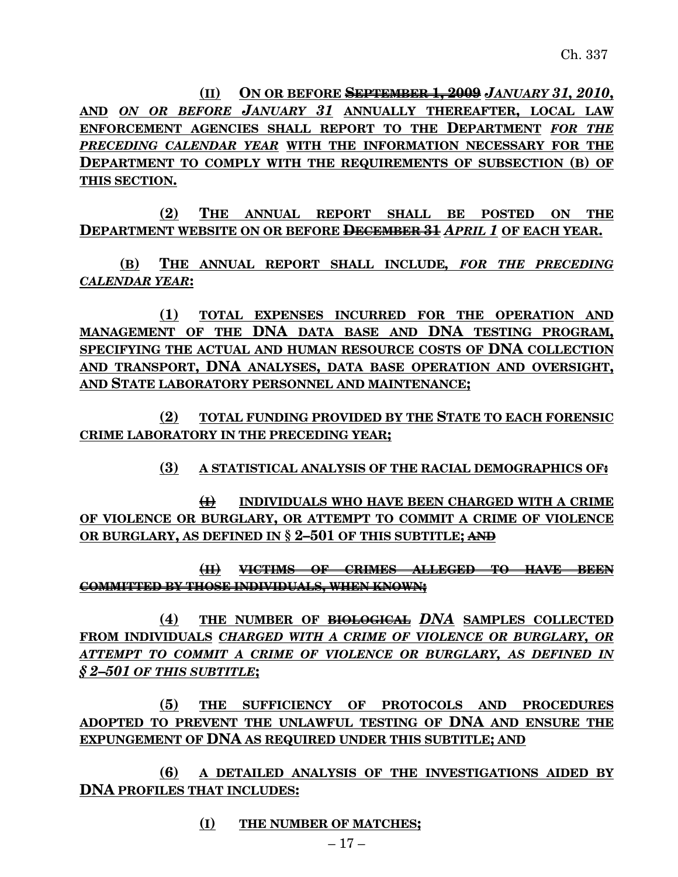**(II) ON OR BEFORE SEPTEMBER 1, 2009** *JANUARY 31, 2010***, AND** *ON OR BEFORE JANUARY 31* **ANNUALLY THEREAFTER, LOCAL LAW ENFORCEMENT AGENCIES SHALL REPORT TO THE DEPARTMENT** *FOR THE PRECEDING CALENDAR YEAR* **WITH THE INFORMATION NECESSARY FOR THE DEPARTMENT TO COMPLY WITH THE REQUIREMENTS OF SUBSECTION (B) OF THIS SECTION.**

**(2) THE ANNUAL REPORT SHALL BE POSTED ON THE DEPARTMENT WEBSITE ON OR BEFORE DECEMBER 31** *APRIL 1* **OF EACH YEAR.**

**(B) THE ANNUAL REPORT SHALL INCLUDE***, FOR THE PRECEDING CALENDAR YEAR***:**

**(1) TOTAL EXPENSES INCURRED FOR THE OPERATION AND MANAGEMENT OF THE DNA DATA BASE AND DNA TESTING PROGRAM, SPECIFYING THE ACTUAL AND HUMAN RESOURCE COSTS OF DNA COLLECTION AND TRANSPORT, DNA ANALYSES, DATA BASE OPERATION AND OVERSIGHT, AND STATE LABORATORY PERSONNEL AND MAINTENANCE;**

**(2) TOTAL FUNDING PROVIDED BY THE STATE TO EACH FORENSIC CRIME LABORATORY IN THE PRECEDING YEAR;**

**(3) A STATISTICAL ANALYSIS OF THE RACIAL DEMOGRAPHICS OF:**

**(I) INDIVIDUALS WHO HAVE BEEN CHARGED WITH A CRIME OF VIOLENCE OR BURGLARY, OR ATTEMPT TO COMMIT A CRIME OF VIOLENCE OR BURGLARY, AS DEFINED IN § 2–501 OF THIS SUBTITLE; AND**

**(II) VICTIMS OF CRIMES ALLEGED TO HAVE BEEN COMMITTED BY THOSE INDIVIDUALS, WHEN KNOWN;**

**(4) THE NUMBER OF BIOLOGICAL** *DNA* **SAMPLES COLLECTED FROM INDIVIDUALS** *CHARGED WITH A CRIME OF VIOLENCE OR BURGLARY, OR ATTEMPT TO COMMIT A CRIME OF VIOLENCE OR BURGLARY, AS DEFINED IN § 2–501 OF THIS SUBTITLE***;**

**(5) THE SUFFICIENCY OF PROTOCOLS AND PROCEDURES ADOPTED TO PREVENT THE UNLAWFUL TESTING OF DNA AND ENSURE THE EXPUNGEMENT OF DNA AS REQUIRED UNDER THIS SUBTITLE; AND**

**(6) A DETAILED ANALYSIS OF THE INVESTIGATIONS AIDED BY DNA PROFILES THAT INCLUDES:**

**(I) THE NUMBER OF MATCHES;**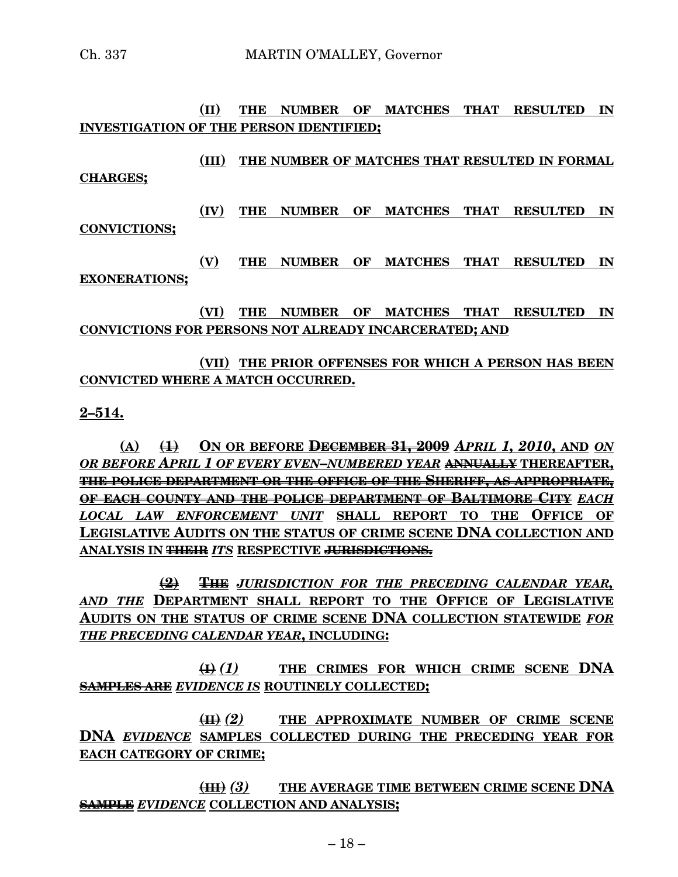### **(II) THE NUMBER OF MATCHES THAT RESULTED IN INVESTIGATION OF THE PERSON IDENTIFIED;**

**(III) THE NUMBER OF MATCHES THAT RESULTED IN FORMAL CHARGES;**

**(IV) THE NUMBER OF MATCHES THAT RESULTED IN CONVICTIONS;**

**(V) THE NUMBER OF MATCHES THAT RESULTED IN EXONERATIONS;**

**(VI) THE NUMBER OF MATCHES THAT RESULTED IN CONVICTIONS FOR PERSONS NOT ALREADY INCARCERATED; AND**

# **(VII) THE PRIOR OFFENSES FOR WHICH A PERSON HAS BEEN CONVICTED WHERE A MATCH OCCURRED.**

### **2–514.**

**(A) (1) ON OR BEFORE DECEMBER 31, 2009** *APRIL 1, 2010***, AND** *ON OR BEFORE APRIL 1 OF EVERY EVEN–NUMBERED YEAR* **ANNUALLY THEREAFTER, THE POLICE DEPARTMENT OR THE OFFICE OF THE SHERIFF, AS APPROPRIATE, OF EACH COUNTY AND THE POLICE DEPARTMENT OF BALTIMORE CITY** *EACH LOCAL LAW ENFORCEMENT UNIT* **SHALL REPORT TO THE OFFICE OF LEGISLATIVE AUDITS ON THE STATUS OF CRIME SCENE DNA COLLECTION AND ANALYSIS IN THEIR** *ITS* **RESPECTIVE JURISDICTIONS.**

**(2) THE** *JURISDICTION FOR THE PRECEDING CALENDAR YEAR, AND THE* **DEPARTMENT SHALL REPORT TO THE OFFICE OF LEGISLATIVE AUDITS ON THE STATUS OF CRIME SCENE DNA COLLECTION STATEWIDE** *FOR THE PRECEDING CALENDAR YEAR***, INCLUDING:**

**(I)** *(1)* **THE CRIMES FOR WHICH CRIME SCENE DNA SAMPLES ARE** *EVIDENCE IS* **ROUTINELY COLLECTED;**

**(II)** *(2)* **THE APPROXIMATE NUMBER OF CRIME SCENE DNA** *EVIDENCE* **SAMPLES COLLECTED DURING THE PRECEDING YEAR FOR EACH CATEGORY OF CRIME;**

**(III)** *(3)* **THE AVERAGE TIME BETWEEN CRIME SCENE DNA SAMPLE** *EVIDENCE* **COLLECTION AND ANALYSIS;**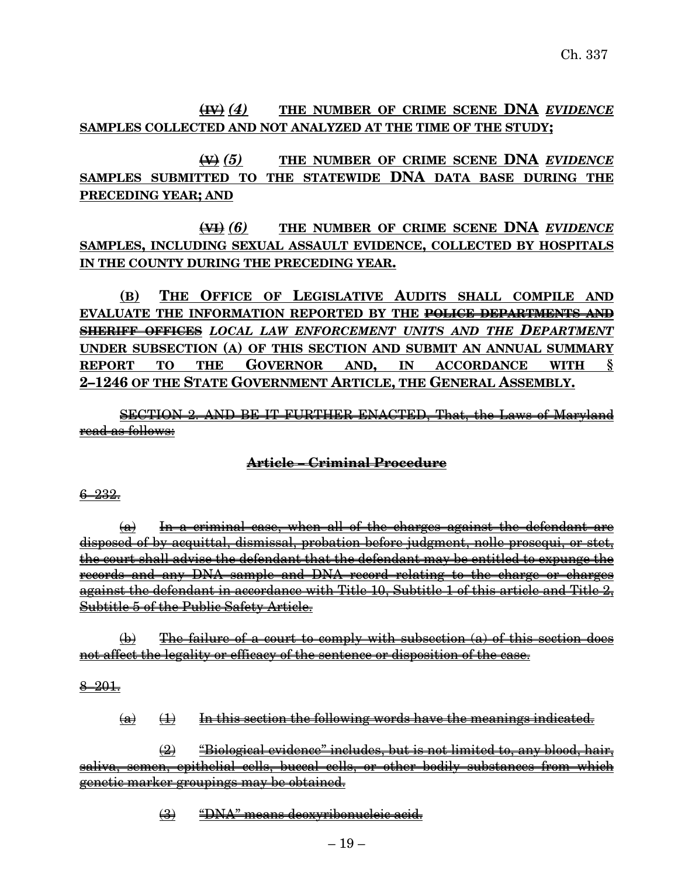# **(IV)** *(4)* **THE NUMBER OF CRIME SCENE DNA** *EVIDENCE* **SAMPLES COLLECTED AND NOT ANALYZED AT THE TIME OF THE STUDY;**

**(V)** *(5)* **THE NUMBER OF CRIME SCENE DNA** *EVIDENCE* **SAMPLES SUBMITTED TO THE STATEWIDE DNA DATA BASE DURING THE PRECEDING YEAR; AND**

# **(VI)** *(6)* **THE NUMBER OF CRIME SCENE DNA** *EVIDENCE* **SAMPLES, INCLUDING SEXUAL ASSAULT EVIDENCE, COLLECTED BY HOSPITALS IN THE COUNTY DURING THE PRECEDING YEAR.**

**(B) THE OFFICE OF LEGISLATIVE AUDITS SHALL COMPILE AND EVALUATE THE INFORMATION REPORTED BY THE POLICE DEPARTMENTS AND SHERIFF OFFICES** *LOCAL LAW ENFORCEMENT UNITS AND THE DEPARTMENT* **UNDER SUBSECTION (A) OF THIS SECTION AND SUBMIT AN ANNUAL SUMMARY REPORT TO THE GOVERNOR AND, IN ACCORDANCE WITH § 2–1246 OF THE STATE GOVERNMENT ARTICLE, THE GENERAL ASSEMBLY.**

SECTION 2. AND BE IT FURTHER ENACTED, That, the Laws of Maryland read as follows:

## **Article – Criminal Procedure**

### 6–232.

(a) In a criminal case, when all of the charges against the defendant are disposed of by acquittal, dismissal, probation before judgment, nolle prosequi, or stet, the court shall advise the defendant that the defendant may be entitled to expunge the records and any DNA sample and DNA record relating to the charge or charges against the defendant in accordance with Title 10, Subtitle 1 of this article and Title 2, Subtitle 5 of the Public Safety Article.

 $\phi$ ) The failure of a court to comply with subsection (a) of this section does not affect the legality or efficacy of the sentence or disposition of the case.

### $8 - 201.$

 $\overline{a}$   $\rightarrow$  In this section the following words have the meanings indicated.

 $\left( 2\right)$  "Biological evidence" includes, but is not limited to, any blood, hair, saliva, semen, epithelial cells, buccal cells, or other bodily substances from which genetic marker groupings may be obtained.

(3) "DNA" means deoxyribonucleic acid.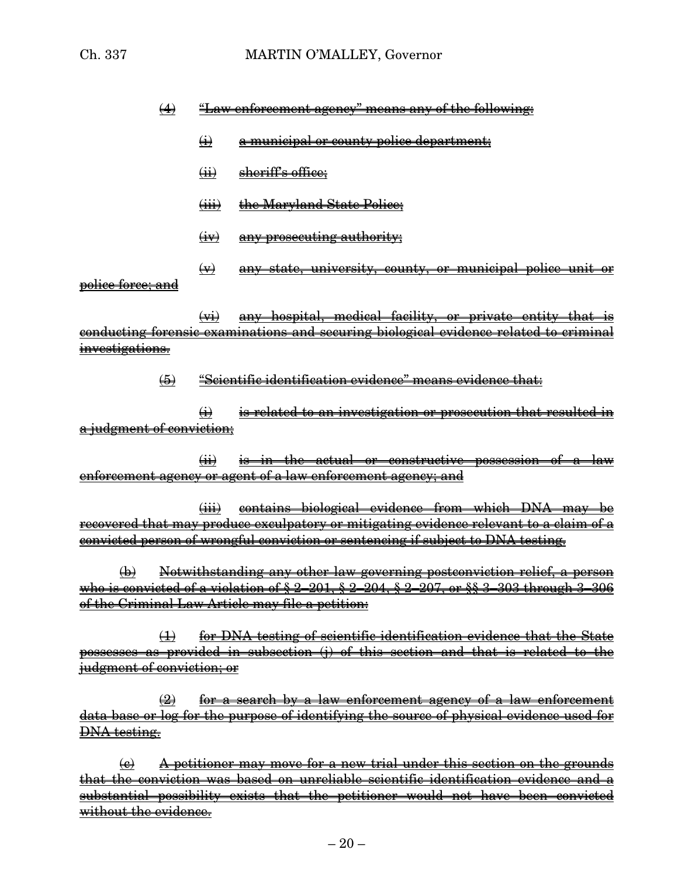# $(4)$  "Law enforcement agency" means any of the following:

- $\leftrightarrow$  a municipal or county police department;
- $(i)$  sheriff's office;
- (iii) the Maryland State Police;
- $(iv)$  any prosecuting authority;
- (v) any state, university, county, or municipal police unit or police force; and

(vi) any hospital, medical facility, or private entity that is conducting forensic examinations and securing biological evidence related to criminal investigations.

### (5) "Scientific identification evidence" means evidence that:

 $\leftrightarrow$  is related to an investigation or prosecution that resulted in a judgment of conviction:

(ii) is in the actual or constructive possession of a law enforcement agency or agent of a law enforcement agency; and

(iii) contains biological evidence from which DNA may be recovered that may produce exculpatory or mitigating evidence relevant to a claim of a convicted person of wrongful conviction or sentencing if subject to DNA testing.

(b) Notwithstanding any other law governing postconviction relief, a person who is convicted of a violation of § 2–201, § 2–204, § 2–207, or §§ 3–303 through 3–306 of the Criminal Law Article may file a petition:

(1) for DNA testing of scientific identification evidence that the State possesses as provided in subsection (j) of this section and that is related to the judgment of conviction; or

 $\left( 2 \right)$  for a search by a law enforcement agency of a law enforcement data base or log for the purpose of identifying the source of physical evidence used for DNA testing.

 $\left(\epsilon\right)$  A petitioner may move for a new trial under this section on the grounds that the conviction was based on unreliable scientific identification evidence and a substantial possibility exists that the petitioner would not have been convicted without the evidence.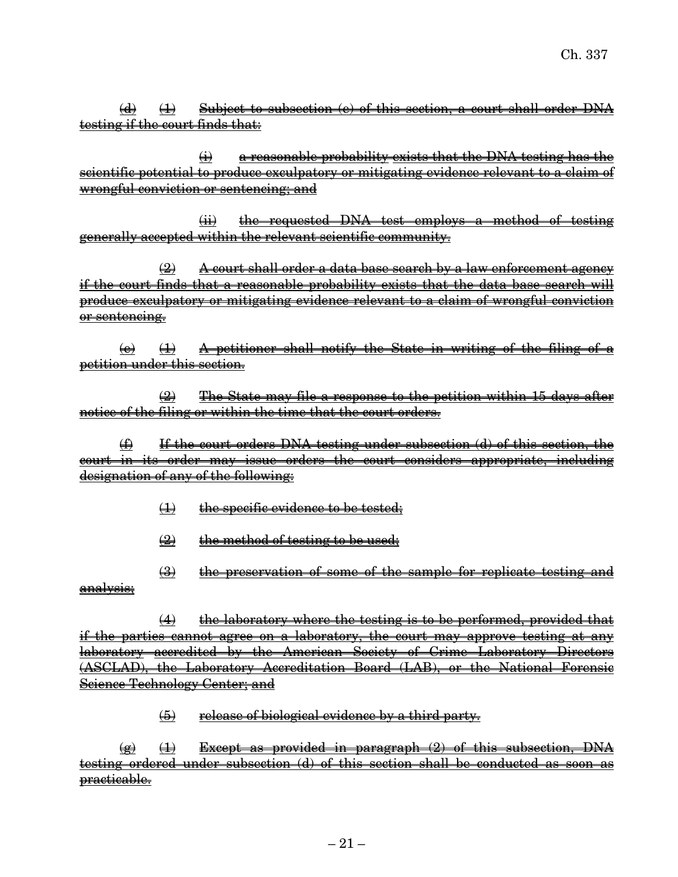$\frac{1}{2}$   $\frac{1}{2}$  Subject to subsection (e) of this section, a court shall order DNA testing if the court finds that:

(i) a reasonable probability exists that the DNA testing has the scientific potential to produce exculpatory or mitigating evidence relevant to a claim of wrongful conviction or sentencing; and

(ii) the requested DNA test employs a method of testing generally accepted within the relevant scientific community.

 $\left( 2\right)$  A court shall order a data base search by a law enforcement agency if the court finds that a reasonable probability exists that the data base search will produce exculpatory or mitigating evidence relevant to a claim of wrongful conviction or sentencing.

 $\overrightarrow{a}$  ( $\overrightarrow{b}$ ) A petitioner shall notify the State in writing of the filing of a petition under this section.

(2) The State may file a response to the petition within 15 days after notice of the filing or within the time that the court orders.

(f) If the court orders DNA testing under subsection (d) of this section, the court in its order may issue orders the court considers appropriate, including designation of any of the following:

- (1) the specific evidence to be tested;
- $\left( 2 \right)$  the method of testing to be used;
- (3) the preservation of some of the sample for replicate testing and analysis;

 $(4)$  the laboratory where the testing is to be performed, provided that if the parties cannot agree on a laboratory, the court may approve testing at any laboratory accredited by the American Society of Crime Laboratory Directors (ASCLAD), the Laboratory Accreditation Board (LAB), or the National Forensic Science Technology Center; and

(5) release of biological evidence by a third party.

 $\frac{1}{2}$   $\frac{1}{2}$  Except as provided in paragraph (2) of this subsection, DNA testing ordered under subsection (d) of this section shall be conducted as soon as practicable.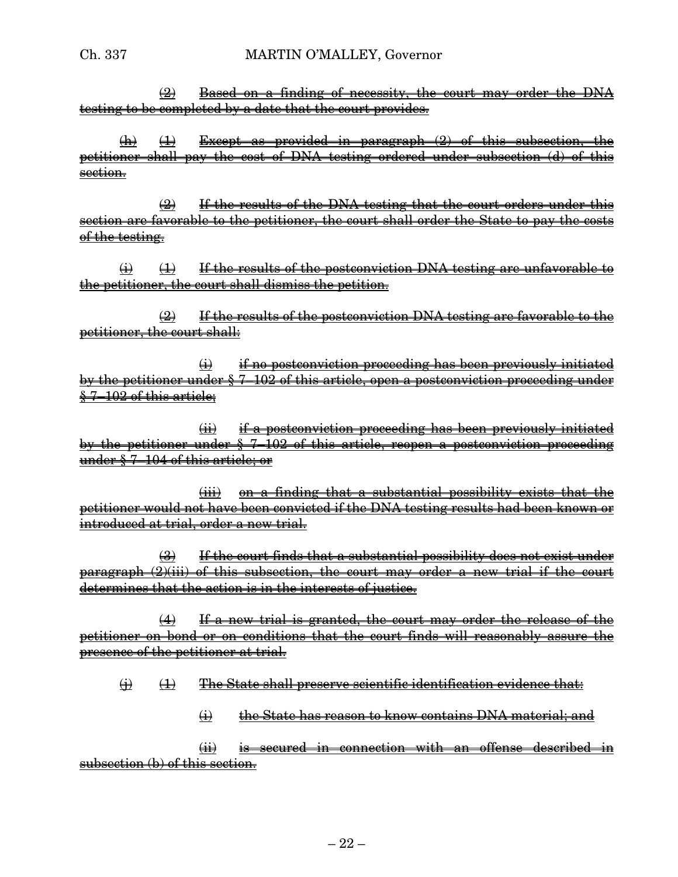$\frac{1}{2}$  Based on a finding of necessity, the court may order the DNA testing to be completed by a date that the court provides.

 $(h)$   $(1)$  Except as provided in paragraph  $(2)$  of this subsection, the petitioner shall pay the cost of DNA testing ordered under subsection (d) of this section.

(2) If the results of the DNA testing that the court orders under this section are favorable to the petitioner, the court shall order the State to pay the costs of the testing.

 $\overrightarrow{H}$  If the results of the postconviction DNA testing are unfavorable to the petitioner, the court shall dismiss the petition.

 $\frac{1}{2}$  If the results of the postconviction DNA testing are favorable to the petitioner, the court shall:

 $\leftrightarrow$  if no postconviction proceeding has been previously initiated by the petitioner under § 7–102 of this article, open a postconviction proceeding under § 7–102 of this article;

(ii) if a postconviction proceeding has been previously initiated by the petitioner under  $\S$  7–102 of this article, reopen a postconviction proceeding under § 7–104 of this article; or

(iii) on a finding that a substantial possibility exists that the petitioner would not have been convicted if the DNA testing results had been known or introduced at trial, order a new trial.

(3) If the court finds that a substantial possibility does not exist under paragraph  $(2)(iii)$  of this subsection, the court may order a new trial if the court determines that the action is in the interests of justice.

(4) If a new trial is granted, the court may order the release of the petitioner on bond or on conditions that the court finds will reasonably assure the presence of the petitioner at trial.

 $\overline{\Theta}$  (1) The State shall preserve scientific identification evidence that:

(i) the State has reason to know contains DNA material; and

(ii) is secured in connection with an offense described in subsection (b) of this section.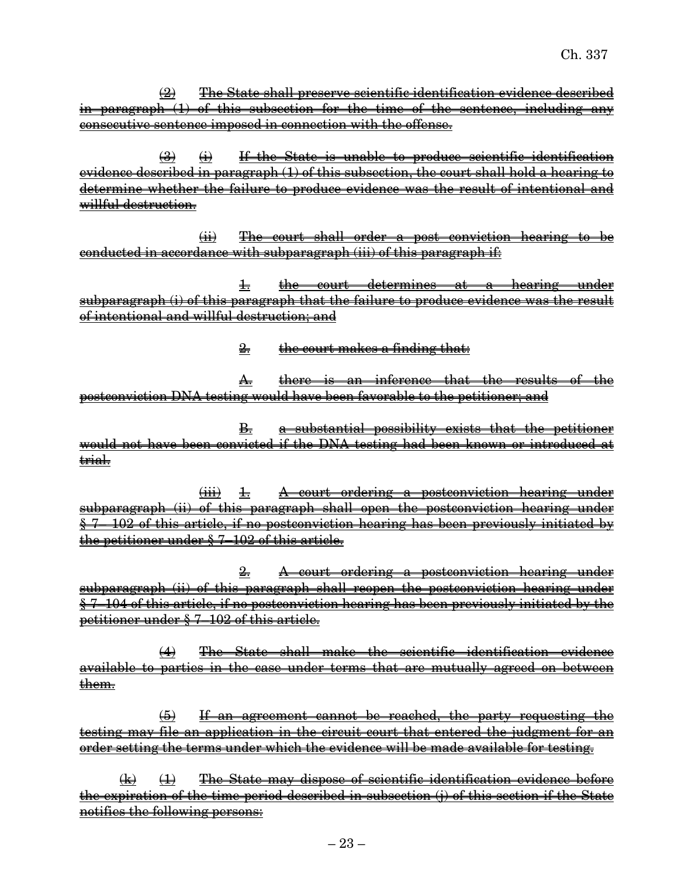(2) The State shall preserve scientific identification evidence described in paragraph (1) of this subsection for the time of the sentence, including any consecutive sentence imposed in connection with the offense.

 $\left(3\right)$   $\left(4\right)$  If the State is unable to produce scientific identification evidence described in paragraph (1) of this subsection, the court shall hold a hearing to determine whether the failure to produce evidence was the result of intentional and willful destruction.

(ii) The court shall order a post conviction hearing to be conducted in accordance with subparagraph (iii) of this paragraph if:

1. the court determines at a hearing under subparagraph (i) of this paragraph that the failure to produce evidence was the result of intentional and willful destruction; and

2. the court makes a finding that:

A. there is an inference that the results of the postconviction DNA testing would have been favorable to the petitioner; and

B. a substantial possibility exists that the petitioner would not have been convicted if the DNA testing had been known or introduced at trial.

 $\overrightarrow{ii}$  1. A court ordering a postconviction hearing under subparagraph (ii) of this paragraph shall open the postconviction hearing under § 7– 102 of this article, if no postconviction hearing has been previously initiated by the petitioner under § 7–102 of this article.

2. A court ordering a postconviction hearing under subparagraph (ii) of this paragraph shall reopen the postconviction hearing under § 7–104 of this article, if no postconviction hearing has been previously initiated by the petitioner under § 7–102 of this article.

(4) The State shall make the scientific identification evidence available to parties in the case under terms that are mutually agreed on between them.

(5) If an agreement cannot be reached, the party requesting the testing may file an application in the circuit court that entered the judgment for an order setting the terms under which the evidence will be made available for testing.

 $\overline{f}(k)$  (1) The State may dispose of scientific identification evidence before the expiration of the time period described in subsection (i) of this section if the State notifies the following persons: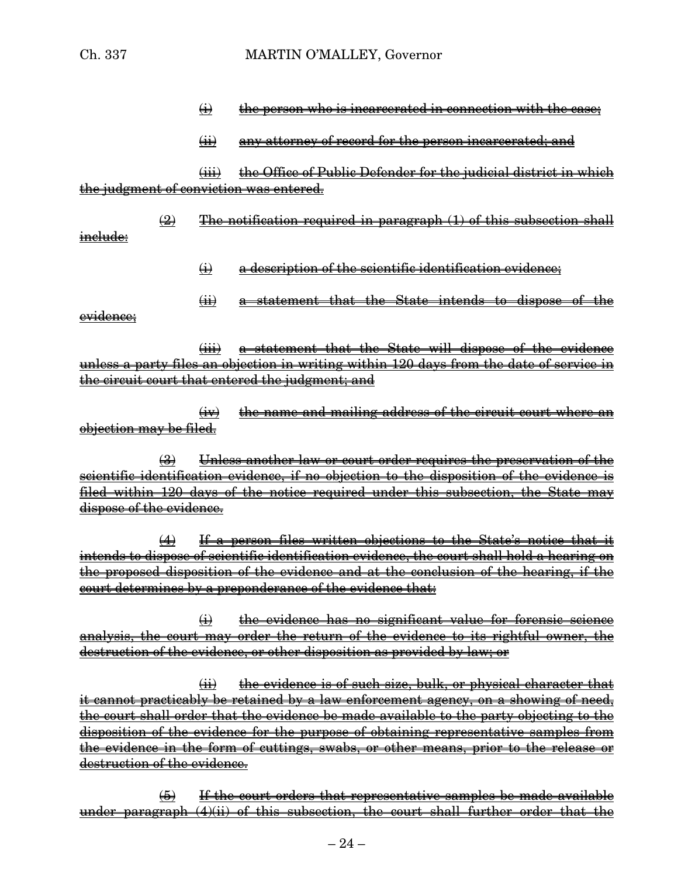- $\overline{\textbf{(i)}}$  the person who is incarcerated in connection with the case;
- (ii) any attorney of record for the person incarcerated; and

(iii) the Office of Public Defender for the judicial district in which the judgment of conviction was entered.

 $\left( 2 \right)$  The notification required in paragraph  $\left( 1 \right)$  of this subsection shall include:

- $\leftrightarrow$  a description of the scientific identification evidence;
- (ii) a statement that the State intends to dispose of the

evidence;

(iii) a statement that the State will dispose of the evidence unless a party files an objection in writing within 120 days from the date of service in the circuit court that entered the judgment; and

(iv) the name and mailing address of the circuit court where an objection may be filed.

(3) Unless another law or court order requires the preservation of the scientific identification evidence, if no objection to the disposition of the evidence is filed within 120 days of the notice required under this subsection, the State may dispose of the evidence.

(4) If a person files written objections to the State's notice that it intends to dispose of scientific identification evidence, the court shall hold a hearing on the proposed disposition of the evidence and at the conclusion of the hearing, if the court determines by a preponderance of the evidence that:

 $\leftrightarrow$  the evidence has no significant value for forensic science analysis, the court may order the return of the evidence to its rightful owner, the destruction of the evidence, or other disposition as provided by law; or

 $(iii)$  the evidence is of such size, bulk, or physical character that it cannot practicably be retained by a law enforcement agency, on a showing of need, the court shall order that the evidence be made available to the party objecting to the disposition of the evidence for the purpose of obtaining representative samples from the evidence in the form of cuttings, swabs, or other means, prior to the release or destruction of the evidence.

(5) If the court orders that representative samples be made available under paragraph  $(4)(ii)$  of this subsection, the court shall further order that the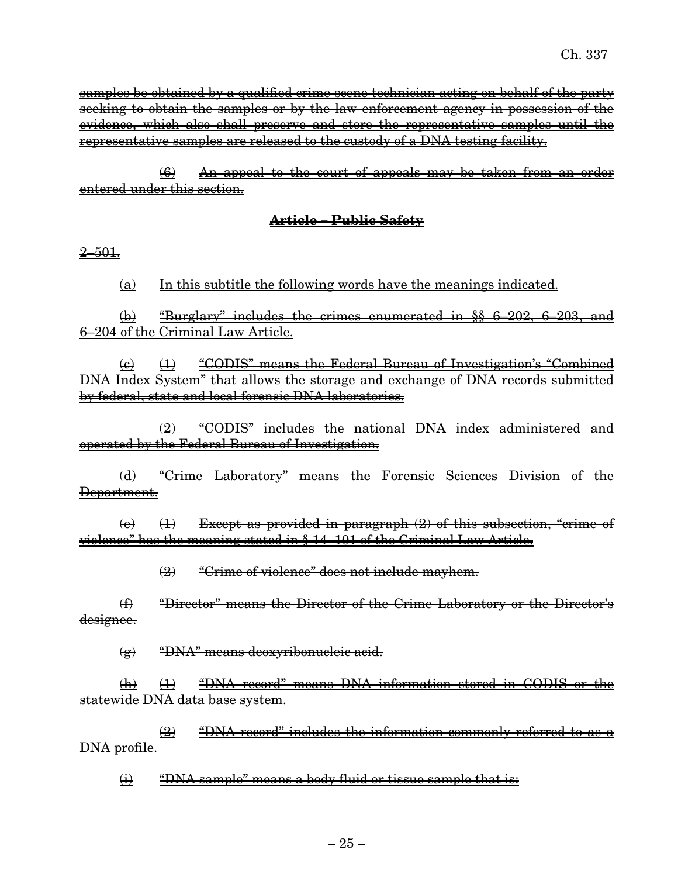samples be obtained by a qualified crime scene technician acting on behalf of the party seeking to obtain the samples or by the law enforcement agency in possession of the evidence, which also shall preserve and store the representative samples until the representative samples are released to the custody of a DNA testing facility.

(6) An appeal to the court of appeals may be taken from an order entered under this section.

### **Article – Public Safety**

 $2 - 501.$ 

 $(a)$  In this subtitle the following words have the meanings indicated.

 $(\phi)$  "Burglary" includes the crimes enumerated in §§ 6–202, 6–203, and 6–204 of the Criminal Law Article.

 $\overline{a}$  (4) "CODIS" means the Federal Bureau of Investigation's "Combined DNA Index System" that allows the storage and exchange of DNA records submitted by federal, state and local forensic DNA laboratories.

(2) "CODIS" includes the national DNA index administered and operated by the Federal Bureau of Investigation.

(d) "Crime Laboratory" means the Forensic Sciences Division of the Department.

 $\overline{+}(e)$  (1) Except as provided in paragraph  $(2)$  of this subsection, "crime of violence" has the meaning stated in § 14–101 of the Criminal Law Article.

(2) "Crime of violence" does not include mayhem.

(f) "Director" means the Director of the Crime Laboratory or the Director's designee.

(g) "DNA" means deoxyribonucleic acid.

(h) (1) "DNA record" means DNA information stored in CODIS or the statewide DNA data base system.

 $\left( 2 \right)$  "DNA record" includes the information commonly referred to as a DNA profile.

 $\overline{\text{H}}$  "DNA sample" means a body fluid or tissue sample that is: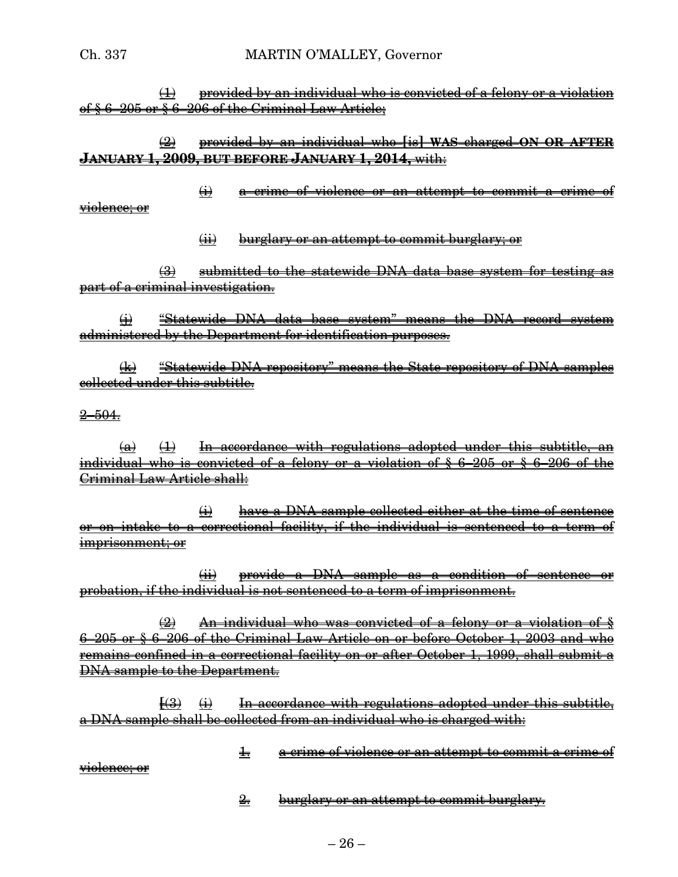$(1)$  provided by an individual who is convicted of a felony or a violation of § 6–205 or § 6–206 of the Criminal Law Article;

# (2) provided by an individual who **[**is**] WAS** charged **ON OR AFTER JANUARY 1, 2009, BUT BEFORE JANUARY 1, 2014,** with:

(i) a crime of violence or an attempt to commit a crime of violence; or

(ii) burglary or an attempt to commit burglary; or

(3) submitted to the statewide DNA data base system for testing as part of a criminal investigation.

(i) "Statewide DNA data base system" means the DNA record system administered by the Department for identification purposes.

(k) "Statewide DNA repository" means the State repository of DNA samples collected under this subtitle.

 $2 - 504.$ 

 $(a)$   $(1)$  In accordance with regulations adopted under this subtitle, an individual who is convicted of a felony or a violation of § 6–205 or § 6–206 of the Criminal Law Article shall:

(i) have a DNA sample collected either at the time of sentence or on intake to a correctional facility, if the individual is sentenced to a term of imprisonment; or

(ii) provide a DNA sample as a condition of sentence or probation, if the individual is not sentenced to a term of imprisonment.

(2) An individual who was convicted of a felony or a violation of § 6–205 or § 6–206 of the Criminal Law Article on or before October 1, 2003 and who remains confined in a correctional facility on or after October 1, 1999, shall submit a DNA sample to the Department.

 $\overline{f(3)}$   $\overline{f(4)}$  In accordance with regulations adopted under this subtitle, a DNA sample shall be collected from an individual who is charged with:

1. a crime of violence or an attempt to commit a crime of

violence; or

2. burglary or an attempt to commit burglary.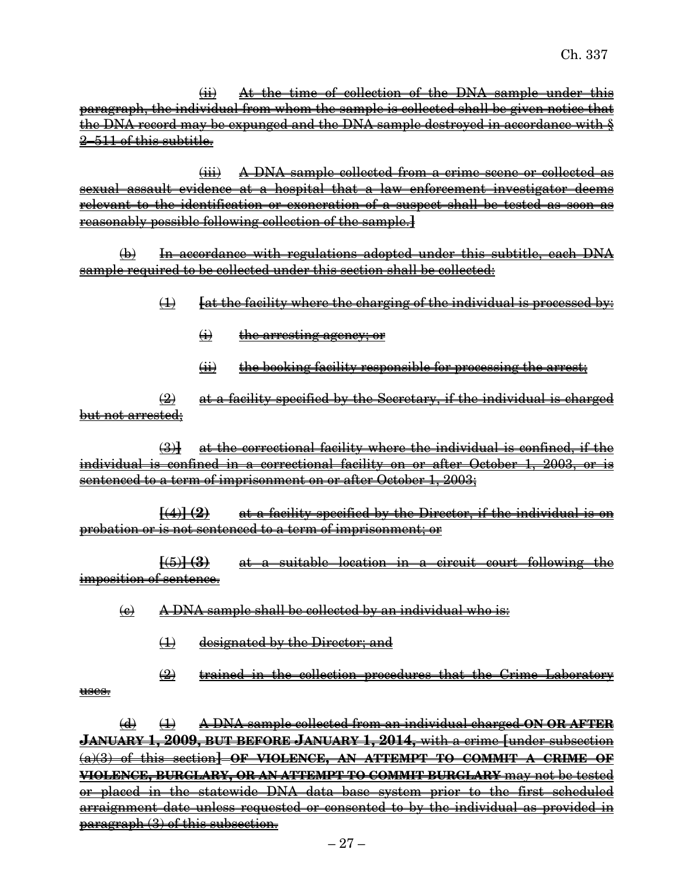(ii) At the time of collection of the DNA sample under this paragraph, the individual from whom the sample is collected shall be given notice that the DNA record may be expunged and the DNA sample destroyed in accordance with § 2–511 of this subtitle.

(iii) A DNA sample collected from a crime scene or collected as sexual assault evidence at a hospital that a law enforcement investigator deems relevant to the identification or exoneration of a suspect shall be tested as soon as reasonably possible following collection of the sample.**]**

(b) In accordance with regulations adopted under this subtitle, each DNA sample required to be collected under this section shall be collected:

- (1) **[**at the facility where the charging of the individual is processed by:
	- (i) the arresting agency; or
	- (ii) the booking facility responsible for processing the arrest:

 $\frac{1}{2}$  at a facility specified by the Secretary, if the individual is charged but not arrested;

(3)**]** at the correctional facility where the individual is confined, if the individual is confined in a correctional facility on or after October 1, 2003, or is sentenced to a term of imprisonment on or after October 1, 2003;

**[**(4)**] (2)** at a facility specified by the Director, if the individual is on probation or is not sentenced to a term of imprisonment; or

**[**(5)**] (3)** at a suitable location in a circuit court following the imposition of sentence.

- $\left(\epsilon\right)$  A DNA sample shall be collected by an individual who is:
	- (1) designated by the Director; and
	- (2) trained in the collection procedures that the Crime Laboratory

uses.

(d) (1) A DNA sample collected from an individual charged **ON OR AFTER JANUARY 1, 2009, BUT BEFORE JANUARY 1, 2014,** with a crime **[**under subsection (a)(3) of this section**] OF VIOLENCE, AN ATTEMPT TO COMMIT A CRIME OF VIOLENCE, BURGLARY, OR AN ATTEMPT TO COMMIT BURGLARY** may not be tested or placed in the statewide DNA data base system prior to the first scheduled arraignment date unless requested or consented to by the individual as provided in paragraph (3) of this subsection.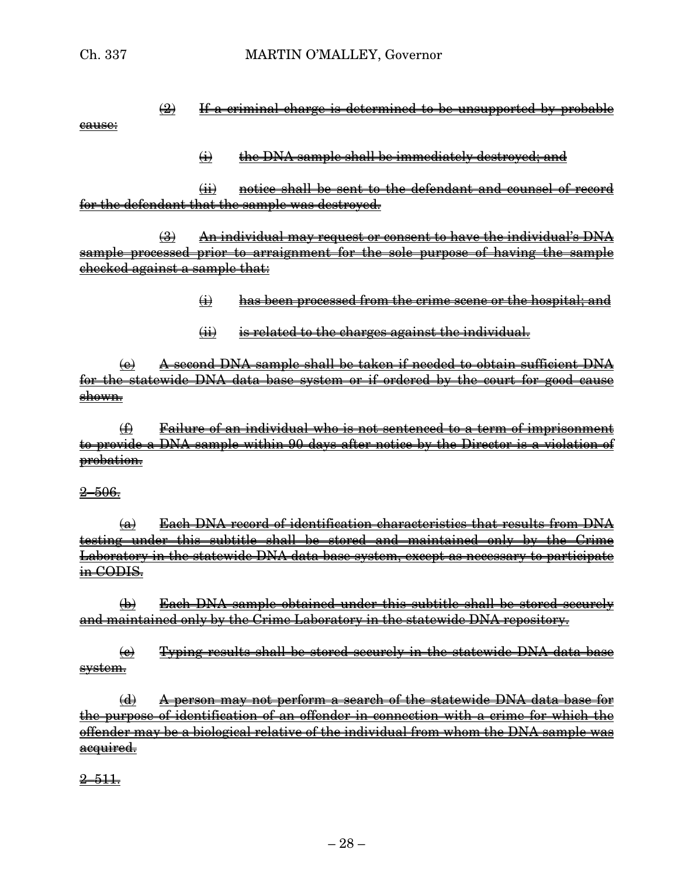cause:

 $\frac{1}{2}$  If a criminal charge is determined to be unsupported by probable

### $\leftrightarrow$  the DNA sample shall be immediately destroyed; and

(ii) notice shall be sent to the defendant and counsel of record for the defendant that the sample was destroyed.

(3) An individual may request or consent to have the individual's DNA sample processed prior to arraignment for the sole purpose of having the sample checked against a sample that:

- (i) has been processed from the crime scene or the hospital; and
- (ii) is related to the charges against the individual.

(e) A second DNA sample shall be taken if needed to obtain sufficient DNA for the statewide DNA data base system or if ordered by the court for good cause shown.

(f) Failure of an individual who is not sentenced to a term of imprisonment to provide a DNA sample within 90 days after notice by the Director is a violation of probation.

### $2 - 506.$

 $\overline{a}$  Each DNA record of identification characteristics that results from DNA testing under this subtitle shall be stored and maintained only by the Crime Laboratory in the statewide DNA data base system, except as necessary to participate in CODIS.

(b) Each DNA sample obtained under this subtitle shall be stored securely and maintained only by the Crime Laboratory in the statewide DNA repository.

 $\left(\frac{e}{e}\right)$  Typing results shall be stored securely in the statewide DNA data base system.

(d) A person may not perform a search of the statewide DNA data base for the purpose of identification of an offender in connection with a crime for which the offender may be a biological relative of the individual from whom the DNA sample was acquired.

 $2 - 511.$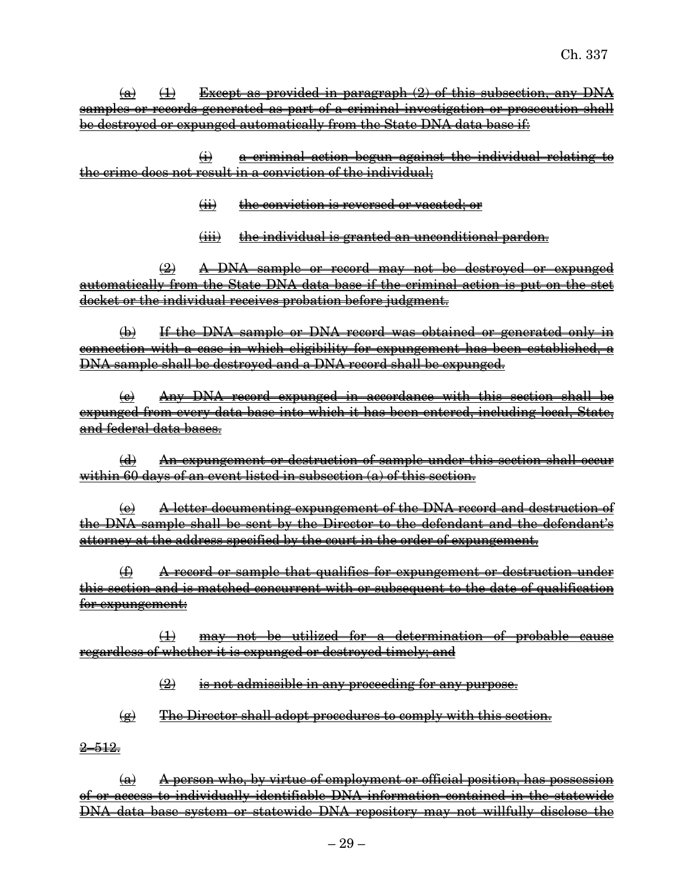$\overline{a}$   $\overline{1}$  Except as provided in paragraph (2) of this subsection, any DNA samples or records generated as part of a criminal investigation or prosecution shall be destroyed or expunged automatically from the State DNA data base if:

(i) a criminal action begun against the individual relating to the crime does not result in a conviction of the individual;

- (ii) the conviction is reversed or vacated; or
- (iii) the individual is granted an unconditional pardon.

(2) A DNA sample or record may not be destroyed or expunged automatically from the State DNA data base if the criminal action is put on the stet docket or the individual receives probation before judgment.

(b) If the DNA sample or DNA record was obtained or generated only in connection with a case in which eligibility for expungement has been established, a DNA sample shall be destroyed and a DNA record shall be expunged.

(c) Any DNA record expunged in accordance with this section shall be expunged from every data base into which it has been entered, including local, State, and federal data bases.

(d) An expungement or destruction of sample under this section shall occur within 60 days of an event listed in subsection (a) of this section.

(e) A letter documenting expungement of the DNA record and destruction of the DNA sample shall be sent by the Director to the defendant and the defendant's attorney at the address specified by the court in the order of expungement.

(f) A record or sample that qualifies for expungement or destruction under this section and is matched concurrent with or subsequent to the date of qualification for expungement:

(1) may not be utilized for a determination of probable cause regardless of whether it is expunged or destroyed timely; and

 $\left( 2 \right)$  is not admissible in any proceeding for any purpose.

 $\left( \mathbf{e} \right)$  The Director shall adopt procedures to comply with this section.

<del>2–512.</del>

 $(a)$  A person who, by virtue of employment or official position, has possession of or access to individually identifiable DNA information contained in the statewide DNA data base system or statewide DNA repository may not willfully disclose the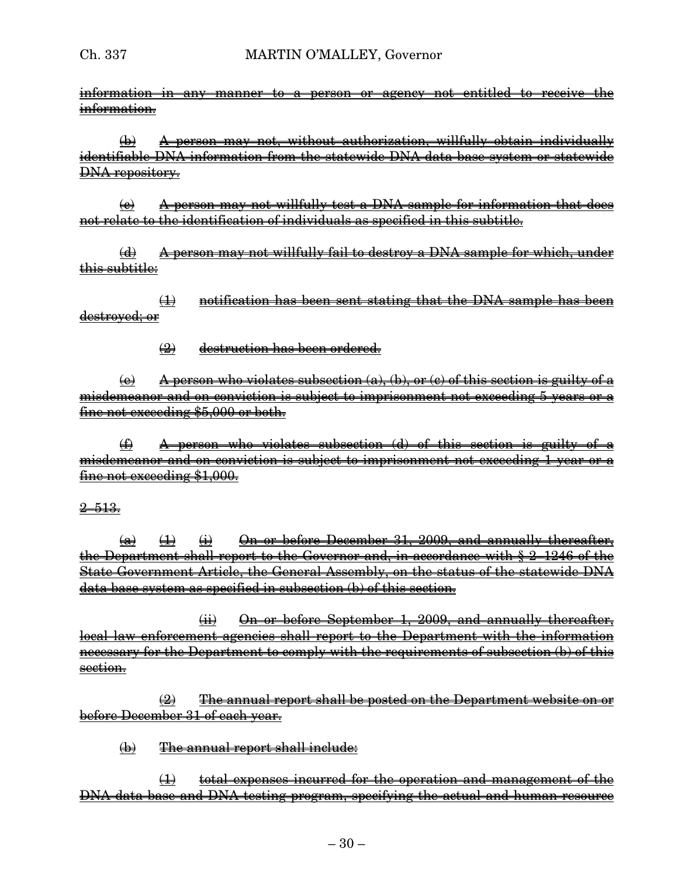information in any manner to a person or agency not entitled to receive the information.

 $\overline{\left(\frac{h}{k}\right)}$  A person may not, without authorization, willfully obtain individually identifiable DNA information from the statewide DNA data base system or statewide DNA repository.

 $\Theta$  A person may not willfully test a DNA sample for information that does not relate to the identification of individuals as specified in this subtitle.

(d) A person may not willfully fail to destroy a DNA sample for which, under this subtitle:

(1) notification has been sent stating that the DNA sample has been destroyed; or

(2) destruction has been ordered.

 $\overline{A}$  berson who violates subsection  $\overline{a}$ ,  $\overline{b}$ ,  $\overline{b}$  or  $\overline{c}$  of this section is guilty of a misdemeanor and on conviction is subject to imprisonment not exceeding 5 years or a fine not exceeding \$5,000 or both.

(f) A person who violates subsection (d) of this section is guilty of a misdemeanor and on conviction is subject to imprisonment not exceeding 1 year or a fine not exceeding \$1,000.

### $2 - 513.$

 $\overline{a}$   $\rightarrow$   $\overline{b}$   $\rightarrow$   $\overline{b}$  On or before December 31, 2009, and annually thereafter, the Department shall report to the Governor and, in accordance with § 2–1246 of the State Government Article, the General Assembly, on the status of the statewide DNA data base system as specified in subsection (b) of this section.

 $(iii)$  On or before September 1, 2009, and annually thereafter, local law enforcement agencies shall report to the Department with the information necessary for the Department to comply with the requirements of subsection (b) of this section.

 $\left( 2 \right)$  The annual report shall be posted on the Department website on or before December 31 of each year.

 $\phi$  The annual report shall include:

(1) total expenses incurred for the operation and management of the DNA data base and DNA testing program, specifying the actual and human resource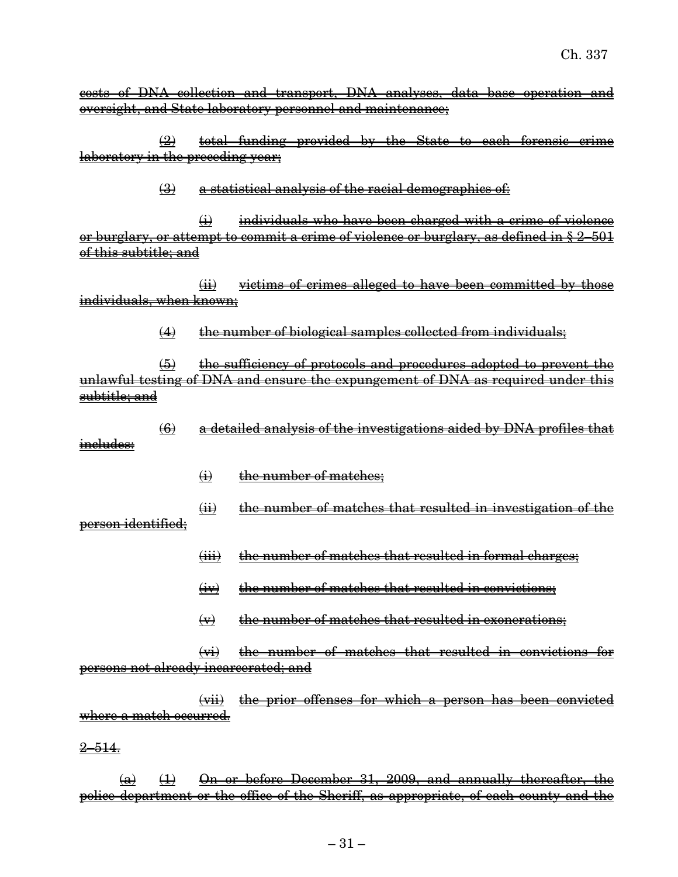costs of DNA collection and transport, DNA analyses, data base operation and oversight, and State laboratory personnel and maintenance;

 $(2)$  total funding provided by the State to each forensic crime laboratory in the preceding year;

(3) a statistical analysis of the racial demographics of:

 $\leftrightarrow$  individuals who have been charged with a crime of violence or burglary, or attempt to commit a crime of violence or burglary, as defined in § 2–501 of this subtitle; and

(ii) victims of crimes alleged to have been committed by those individuals, when known;

 $(4)$  the number of biological samples collected from individuals;

(5) the sufficiency of protocols and procedures adopted to prevent the unlawful testing of DNA and ensure the expungement of DNA as required under this subtitle; and

(6) a detailed analysis of the investigations aided by DNA profiles that includes:

 $\leftrightarrow$  the number of matches;

 $(i)$  the number of matches that resulted in investigation of the person identified;

- (iii) the number of matches that resulted in formal charges;
- (iv) the number of matches that resulted in convictions;
- $\leftrightarrow$  the number of matches that resulted in exonerations;

(vi) the number of matches that resulted in convictions for persons not already incarcerated; and

(vii) the prior offenses for which a person has been convicted where a match occurred.

 $2 - 514.$ 

 $(a)$   $(1)$  On or before December 31, 2009, and annually thereafter, the police department or the office of the Sheriff, as appropriate, of each county and the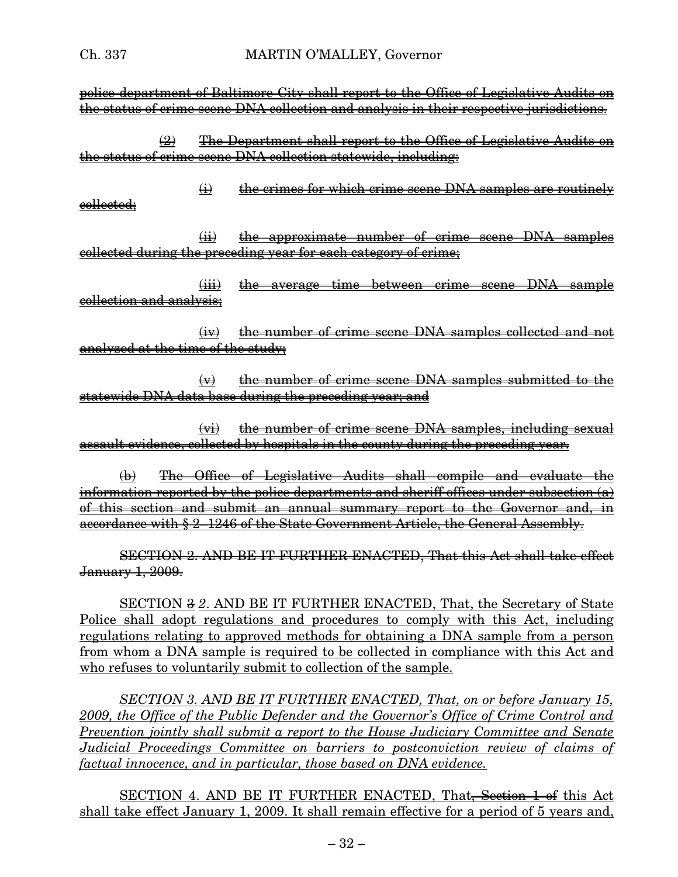police department of Baltimore City shall report to the Office of Legislative Audits on the status of crime scene DNA collection and analysis in their respective jurisdictions.

(2) The Department shall report to the Office of Legislative Audits on the status of crime scene DNA collection statewide, including:

 $\leftrightarrow$  the crimes for which crime scene DNA samples are routinely collected;

(ii) the approximate number of crime scene DNA samples collected during the preceding year for each category of crime;

(iii) the average time between crime scene DNA sample collection and analysis;

(iv) the number of crime scene DNA samples collected and not analyzed at the time of the study;

 $\leftrightarrow$  the number of crime scene DNA samples submitted to the statewide DNA data base during the preceding year; and

 $\leftrightarrow$  the number of crime scene DNA samples, including sexual assault evidence, collected by hospitals in the county during the preceding year.

(b) The Office of Legislative Audits shall compile and evaluate the information reported by the police departments and sheriff offices under subsection  $(a)$ of this section and submit an annual summary report to the Governor and, in accordance with § 2–1246 of the State Government Article, the General Assembly.

SECTION 2. AND BE IT FURTHER ENACTED, That this Act shall take effect January 1, 2009.

SECTION 3 *2*. AND BE IT FURTHER ENACTED, That, the Secretary of State Police shall adopt regulations and procedures to comply with this Act, including regulations relating to approved methods for obtaining a DNA sample from a person from whom a DNA sample is required to be collected in compliance with this Act and who refuses to voluntarily submit to collection of the sample.

*SECTION 3. AND BE IT FURTHER ENACTED, That, on or before January 15, 2009, the Office of the Public Defender and the Governor's Office of Crime Control and Prevention jointly shall submit a report to the House Judiciary Committee and Senate Judicial Proceedings Committee on barriers to postconviction review of claims of factual innocence, and in particular, those based on DNA evidence.*

SECTION 4. AND BE IT FURTHER ENACTED, That<del>, Section 1 of</del> this Act shall take effect January 1, 2009. It shall remain effective for a period of 5 years and,